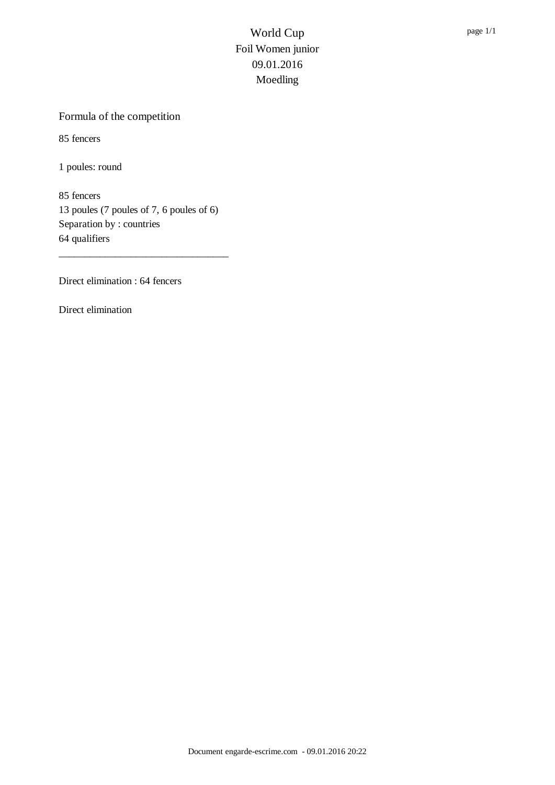#### Formula of the competition

85 fencers

1 poules: round

85 fencers 13 poules (7 poules of 7, 6 poules of 6) Separation by : countries 64 qualifiers

\_\_\_\_\_\_\_\_\_\_\_\_\_\_\_\_\_\_\_\_\_\_\_\_\_\_\_\_\_\_\_\_\_

Direct elimination : 64 fencers

Direct elimination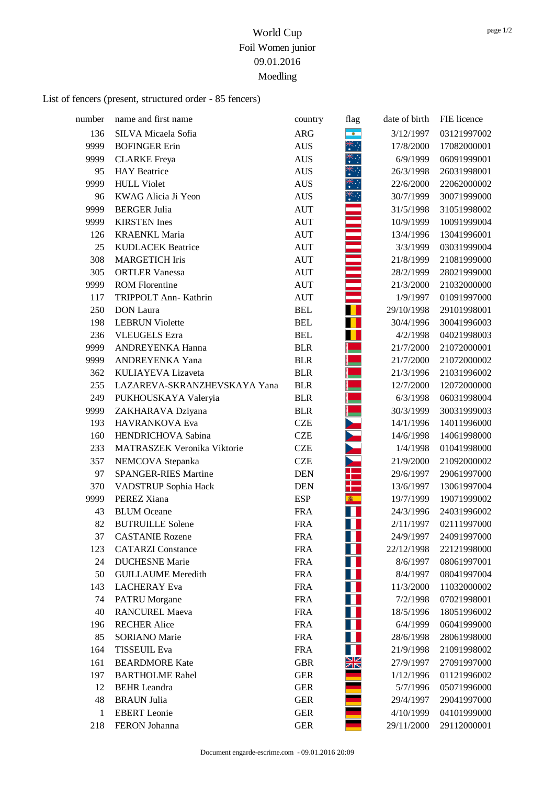# List of fencers (present, structured order - 85 fencers)

| number | name and first name          | country    | flag           | date of birth | FIE licence |
|--------|------------------------------|------------|----------------|---------------|-------------|
| 136    | SILVA Micaela Sofia          | <b>ARG</b> | $\bullet$      | 3/12/1997     | 03121997002 |
| 9999   | <b>BOFINGER Erin</b>         | <b>AUS</b> | ☀∵             | 17/8/2000     | 17082000001 |
| 9999   | <b>CLARKE</b> Freya          | <b>AUS</b> | ҉              | 6/9/1999      | 06091999001 |
| 95     | <b>HAY</b> Beatrice          | <b>AUS</b> | ∗              | 26/3/1998     | 26031998001 |
| 9999   | <b>HULL Violet</b>           | <b>AUS</b> |                | 22/6/2000     | 22062000002 |
| 96     | KWAG Alicia Ji Yeon          | <b>AUS</b> |                | 30/7/1999     | 30071999000 |
| 9999   | <b>BERGER Julia</b>          | <b>AUT</b> |                | 31/5/1998     | 31051998002 |
| 9999   | <b>KIRSTEN</b> Ines          | <b>AUT</b> |                | 10/9/1999     | 10091999004 |
| 126    | <b>KRAENKL Maria</b>         | <b>AUT</b> |                | 13/4/1996     | 13041996001 |
| 25     | <b>KUDLACEK Beatrice</b>     | <b>AUT</b> |                | 3/3/1999      | 03031999004 |
| 308    | <b>MARGETICH Iris</b>        | <b>AUT</b> |                | 21/8/1999     | 21081999000 |
| 305    | <b>ORTLER Vanessa</b>        | <b>AUT</b> |                | 28/2/1999     | 28021999000 |
| 9999   | <b>ROM Florentine</b>        | <b>AUT</b> |                | 21/3/2000     | 21032000000 |
| 117    | TRIPPOLT Ann- Kathrin        | <b>AUT</b> |                | 1/9/1997      | 01091997000 |
| 250    | <b>DON</b> Laura             | <b>BEL</b> |                | 29/10/1998    | 29101998001 |
| 198    | <b>LEBRUN Violette</b>       | <b>BEL</b> |                | 30/4/1996     | 30041996003 |
| 236    | <b>VLEUGELS</b> Ezra         | <b>BEL</b> |                | 4/2/1998      | 04021998003 |
| 9999   | ANDREYENKA Hanna             | <b>BLR</b> |                | 21/7/2000     | 21072000001 |
| 9999   | ANDREYENKA Yana              | <b>BLR</b> |                | 21/7/2000     | 21072000002 |
| 362    | KULIAYEVA Lizaveta           | <b>BLR</b> |                | 21/3/1996     | 21031996002 |
| 255    | LAZAREVA-SKRANZHEVSKAYA Yana | <b>BLR</b> |                | 12/7/2000     | 12072000000 |
| 249    | PUKHOUSKAYA Valeryia         | <b>BLR</b> |                | 6/3/1998      | 06031998004 |
| 9999   | ZAKHARAVA Dziyana            | <b>BLR</b> |                | 30/3/1999     | 30031999003 |
| 193    | HAVRANKOVA Eva               | <b>CZE</b> |                | 14/1/1996     | 14011996000 |
| 160    | HENDRICHOVA Sabina           | <b>CZE</b> |                | 14/6/1998     | 14061998000 |
| 233    | MATRASZEK Veronika Viktorie  | <b>CZE</b> |                | 1/4/1998      | 01041998000 |
| 357    | NEMCOVA Stepanka             | <b>CZE</b> |                | 21/9/2000     | 21092000002 |
| 97     | <b>SPANGER-RIES Martine</b>  | <b>DEN</b> |                | 29/6/1997     | 29061997000 |
| 370    | VADSTRUP Sophia Hack         | <b>DEN</b> |                | 13/6/1997     | 13061997004 |
| 9999   | PEREZ Xiana                  | <b>ESP</b> | 6 1            | 19/7/1999     | 19071999002 |
| 43     | <b>BLUM</b> Oceane           | <b>FRA</b> |                | 24/3/1996     | 24031996002 |
| 82     | <b>BUTRUILLE Solene</b>      | <b>FRA</b> |                | 2/11/1997     | 02111997000 |
| 37     | <b>CASTANIE Rozene</b>       | <b>FRA</b> |                | 24/9/1997     | 24091997000 |
| 123    | <b>CATARZI</b> Constance     | <b>FRA</b> |                | 22/12/1998    | 22121998000 |
| 24     | <b>DUCHESNE Marie</b>        | <b>FRA</b> |                | 8/6/1997      | 08061997001 |
| 50     | <b>GUILLAUME</b> Meredith    | <b>FRA</b> |                | 8/4/1997      | 08041997004 |
| 143    | <b>LACHERAY</b> Eva          | <b>FRA</b> |                | 11/3/2000     | 11032000002 |
| 74     | <b>PATRU</b> Morgane         | <b>FRA</b> |                | 7/2/1998      | 07021998001 |
| 40     | <b>RANCUREL Maeva</b>        | <b>FRA</b> |                | 18/5/1996     | 18051996002 |
| 196    | <b>RECHER Alice</b>          | <b>FRA</b> |                | 6/4/1999      | 06041999000 |
| 85     | <b>SORIANO</b> Marie         | <b>FRA</b> |                | 28/6/1998     | 28061998000 |
| 164    | <b>TISSEUIL Eva</b>          | <b>FRA</b> |                | 21/9/1998     | 21091998002 |
| 161    | <b>BEARDMORE Kate</b>        | <b>GBR</b> | NZ<br>$\times$ | 27/9/1997     | 27091997000 |
| 197    | <b>BARTHOLME Rahel</b>       | <b>GER</b> |                | 1/12/1996     | 01121996002 |
| 12     | <b>BEHR</b> Leandra          | <b>GER</b> |                | 5/7/1996      | 05071996000 |
| 48     | <b>BRAUN Julia</b>           | <b>GER</b> |                | 29/4/1997     | 29041997000 |
| 1      | <b>EBERT</b> Leonie          | <b>GER</b> |                | 4/10/1999     | 04101999000 |
| 218    | FERON Johanna                | <b>GER</b> |                | 29/11/2000    | 29112000001 |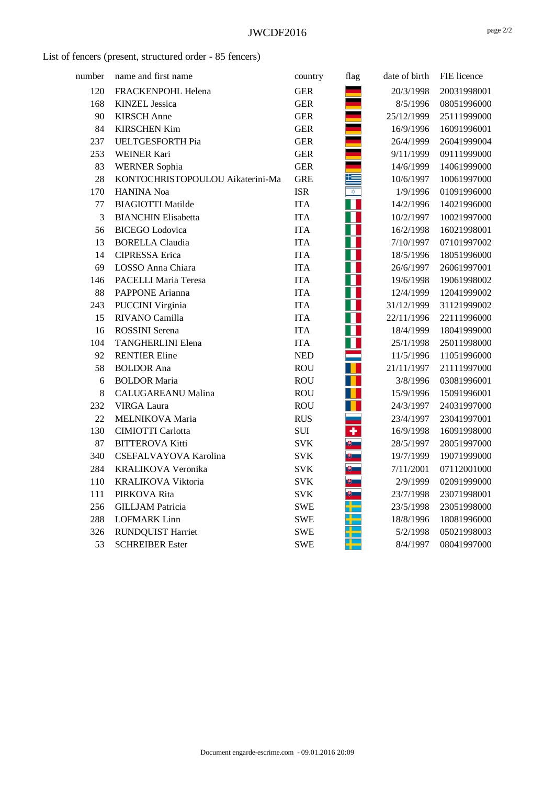List of fencers (present, structured order - 85 fencers)

| number | name and first name              | country    | flag                    | date of birth | FIE licence |
|--------|----------------------------------|------------|-------------------------|---------------|-------------|
| 120    | FRACKENPOHL Helena               | <b>GER</b> |                         | 20/3/1998     | 20031998001 |
| 168    | <b>KINZEL</b> Jessica            | <b>GER</b> |                         | 8/5/1996      | 08051996000 |
| 90     | <b>KIRSCH</b> Anne               | <b>GER</b> |                         | 25/12/1999    | 25111999000 |
| 84     | <b>KIRSCHEN Kim</b>              | <b>GER</b> |                         | 16/9/1996     | 16091996001 |
| 237    | <b>UELTGESFORTH Pia</b>          | <b>GER</b> |                         | 26/4/1999     | 26041999004 |
| 253    | <b>WEINER Kari</b>               | <b>GER</b> |                         | 9/11/1999     | 09111999000 |
| 83     | <b>WERNER Sophia</b>             | <b>GER</b> |                         | 14/6/1999     | 14061999000 |
| 28     | KONTOCHRISTOPOULOU Aikaterini-Ma | <b>GRE</b> | 32                      | 10/6/1997     | 10061997000 |
| 170    | <b>HANINA Noa</b>                | <b>ISR</b> | $\overline{\mathbf{x}}$ | 1/9/1996      | 01091996000 |
| 77     | <b>BIAGIOTTI Matilde</b>         | <b>ITA</b> |                         | 14/2/1996     | 14021996000 |
| 3      | <b>BIANCHIN Elisabetta</b>       | <b>ITA</b> |                         | 10/2/1997     | 10021997000 |
| 56     | <b>BICEGO</b> Lodovica           | <b>ITA</b> |                         | 16/2/1998     | 16021998001 |
| 13     | <b>BORELLA Claudia</b>           | <b>ITA</b> |                         | 7/10/1997     | 07101997002 |
| 14     | <b>CIPRESSA</b> Erica            | <b>ITA</b> |                         | 18/5/1996     | 18051996000 |
| 69     | LOSSO Anna Chiara                | <b>ITA</b> |                         | 26/6/1997     | 26061997001 |
| 146    | PACELLI Maria Teresa             | <b>ITA</b> |                         | 19/6/1998     | 19061998002 |
| 88     | PAPPONE Arianna                  | <b>ITA</b> |                         | 12/4/1999     | 12041999002 |
| 243    | <b>PUCCINI</b> Virginia          | <b>ITA</b> |                         | 31/12/1999    | 31121999002 |
| 15     | RIVANO Camilla                   | <b>ITA</b> |                         | 22/11/1996    | 22111996000 |
| 16     | <b>ROSSINI</b> Serena            | <b>ITA</b> | H                       | 18/4/1999     | 18041999000 |
| 104    | <b>TANGHERLINI Elena</b>         | <b>ITA</b> | Ш                       | 25/1/1998     | 25011998000 |
| 92     | <b>RENTIER Eline</b>             | <b>NED</b> |                         | 11/5/1996     | 11051996000 |
| 58     | <b>BOLDOR</b> Ana                | <b>ROU</b> | Т                       | 21/11/1997    | 21111997000 |
| 6      | <b>BOLDOR Maria</b>              | <b>ROU</b> |                         | 3/8/1996      | 03081996001 |
| 8      | <b>CALUGAREANU Malina</b>        | <b>ROU</b> |                         | 15/9/1996     | 15091996001 |
| 232    | <b>VIRGA Laura</b>               | <b>ROU</b> |                         | 24/3/1997     | 24031997000 |
| 22     | MELNIKOVA Maria                  | <b>RUS</b> |                         | 23/4/1997     | 23041997001 |
| 130    | <b>CIMIOTTI Carlotta</b>         | <b>SUI</b> | $\overline{\textbf{r}}$ | 16/9/1998     | 16091998000 |
| 87     | <b>BITTEROVA Kitti</b>           | <b>SVK</b> |                         | 28/5/1997     | 28051997000 |
| 340    | CSEFALVAYOVA Karolina            | <b>SVK</b> |                         | 19/7/1999     | 19071999000 |
| 284    | KRALIKOVA Veronika               | <b>SVK</b> |                         | 7/11/2001     | 07112001000 |
| 110    | <b>KRALIKOVA Viktoria</b>        | <b>SVK</b> |                         | 2/9/1999      | 02091999000 |
| 111    | PIRKOVA Rita                     | <b>SVK</b> |                         | 23/7/1998     | 23071998001 |
| 256    | <b>GILLJAM</b> Patricia          | <b>SWE</b> |                         | 23/5/1998     | 23051998000 |
| 288    | <b>LOFMARK</b> Linn              | <b>SWE</b> |                         | 18/8/1996     | 18081996000 |
| 326    | <b>RUNDQUIST Harriet</b>         | <b>SWE</b> |                         | 5/2/1998      | 05021998003 |
| 53     | <b>SCHREIBER Ester</b>           | <b>SWE</b> |                         | 8/4/1997      | 08041997000 |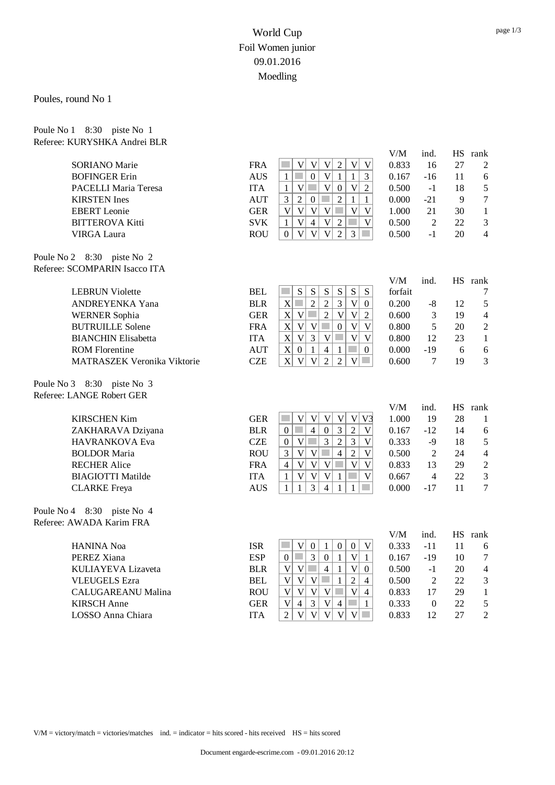#### Poules, round No 1

| Poule No 1 8:30 piste No 1 |                              |
|----------------------------|------------------------------|
|                            | Referee: KURYSHKA Andrei BLR |

|                               |            |                                                                                                                                              | V/M                     | ind.             |    | HS rank          |
|-------------------------------|------------|----------------------------------------------------------------------------------------------------------------------------------------------|-------------------------|------------------|----|------------------|
| <b>SORIANO</b> Marie          | <b>FRA</b> | $\overline{\mathsf{V}}$<br>$\mathbf V$<br>$\overline{2}$<br>$\mathbf V$<br>$\overline{V}$<br>$\mathbf V$<br>p.                               | 0.833                   | 16               | 27 | $\overline{2}$   |
| <b>BOFINGER Erin</b>          | <b>AUS</b> | p.<br>$\boldsymbol{0}$<br> V <br>$\mathbf{1}$<br>$\mathbf{1}$<br>$\mathbf{1}$<br>$\mathfrak{Z}$                                              | 0.167                   | $-16$            | 11 | 6                |
| PACELLI Maria Teresa          | <b>ITA</b> | V<br>V<br>$\mathbf{1}$<br>$\mathcal{L}^{\mathcal{L}}$<br>$\boldsymbol{0}$<br>$\mathbf V$<br>$\boldsymbol{2}$                                 | 0.500                   | $-1$             | 18 | $\mathfrak s$    |
| <b>KIRSTEN</b> Ines           | <b>AUT</b> | $\sqrt{2}$<br>$\overline{2}$<br>$\mathfrak{Z}$<br>$\mathbf{0}$<br>٠<br>$\mathbf{1}$<br>$\mathbf{1}$                                          | 0.000                   | $-21$            | 9  | $\boldsymbol{7}$ |
| <b>EBERT</b> Leonie           | <b>GER</b> | $\mathbf V$<br>$\mathbf V$<br> V <br>$\overline{\mathsf{V}}$<br>$\overline{V}$<br>$\mathcal{L}^{\mathcal{L}}$<br>$\mathbf V$                 | 1.000                   | 21               | 30 | $\mathbf{1}$     |
| <b>BITTEROVA Kitti</b>        | <b>SVK</b> | $\mathcal{L}_{\mathcal{A}}$<br>$\overline{V}$<br>$\overline{4}$<br> V <br>$\overline{2}$<br>$\mathbf V$<br>$\mathbf{1}$                      | 0.500                   | $\overline{2}$   | 22 | $\mathfrak{Z}$   |
| <b>VIRGA Laura</b>            | <b>ROU</b> | $\mathbf{V}$<br>$\mathbf{V}$<br>$\overline{V}$<br>$\overline{2}$<br>$\mathfrak{Z}$<br>$\Omega$<br>$\mathcal{L}^{\mathcal{L}}$                | 0.500                   | $-1$             | 20 | $\overline{4}$   |
| Poule No 2 8:30 piste No 2    |            |                                                                                                                                              |                         |                  |    |                  |
| Referee: SCOMPARIN Isacco ITA |            |                                                                                                                                              |                         |                  |    |                  |
|                               |            |                                                                                                                                              | V/M                     | ind.             |    | HS rank          |
| <b>LEBRUN Violette</b>        | <b>BEL</b> | ${\bf S}$<br>S<br>${\bf S}$<br>${\bf S}$<br>${\bf S}$<br>${\bf S}$<br>p.                                                                     | forfait                 |                  |    | 7                |
| ANDREYENKA Yana               | <b>BLR</b> | X<br>$\overline{2}$<br>$\overline{2}$<br>$\mathfrak{Z}$<br>$\mathbf V$<br>$\boldsymbol{0}$                                                   | 0.200                   | -8               | 12 | $\sqrt{5}$       |
| <b>WERNER Sophia</b>          | <b>GER</b> | $\mathbf X$<br>V<br>$\mathcal{L}^{\mathcal{A}}$<br>$\overline{2}$<br>$\mathbf V$<br>$\mathbf{V}$<br>$\sqrt{2}$                               | 0.600                   | 3                | 19 | $\overline{4}$   |
| <b>BUTRUILLE Solene</b>       | <b>FRA</b> | $\overline{V}$<br>X<br>$\overline{\mathsf{V}}$<br>V<br>$\boldsymbol{0}$<br>V                                                                 | 0.800                   | 5                | 20 | $\sqrt{2}$       |
| <b>BIANCHIN Elisabetta</b>    | <b>ITA</b> | $\overline{3}$<br>$\mathbf{V}$<br>$\overline{\mathsf{V}}$<br>X<br>V<br>V<br><b>College</b>                                                   | 0.800                   | 12               | 23 | $\mathbf{1}$     |
| <b>ROM</b> Florentine         | <b>AUT</b> | $\mathbf X$<br>$\overline{4}$<br>$\sim$<br>$\boldsymbol{0}$<br>$\mathbf{1}$<br>$\overline{0}$<br>1                                           | 0.000                   | $-19$            | 6  | 6                |
| MATRASZEK Veronika Viktorie   | <b>CZE</b> | $\overline{\mathsf{V}}$<br>$\overline{2}$<br>$\overline{2}$<br>$\mathbf{X}$<br>$\mathbf V$<br>$\mathcal{L}^{\mathcal{L}}$<br>V               | 0.600                   | 7                | 19 | 3                |
| Poule No 3 8:30 piste No 3    |            |                                                                                                                                              |                         |                  |    |                  |
| Referee: LANGE Robert GER     |            |                                                                                                                                              |                         |                  |    |                  |
|                               |            |                                                                                                                                              | V/M                     | ind.             |    | HS rank          |
| <b>KIRSCHEN Kim</b>           | <b>GER</b> | $\overline{\mathsf{V}}$<br> V <br>V <sub>3</sub><br>p.<br>$\ensuremath{\mathbf{V}}$<br>$\mathbf V$<br>$\mathbf{V}$                           | 1.000                   | 19               | 28 | 1                |
| ZAKHARAVA Dziyana             | <b>BLR</b> | $\overline{4}$<br>$\overline{0}$<br>$\overline{3}$<br>T.<br>$\sqrt{2}$<br>$\Omega$<br>$\mathbf V$                                            | 0.167                   | $-12$            | 14 | 6                |
| HAVRANKOVA Eva                | <b>CZE</b> | $\sqrt{2}$<br><b>Tara</b><br>$\overline{3}$<br>$\mathfrak{Z}$<br>$\mathbf V$<br>$\boldsymbol{0}$<br>$\mathbf V$                              | 0.333                   | $-9$             | 18 | $\sqrt{5}$       |
| <b>BOLDOR Maria</b>           | <b>ROU</b> | $\overline{V}$<br>$\overline{2}$<br>3<br>$\mathbf{V}$<br>$\overline{4}$<br>$\overline{\mathsf{V}}$                                           | 0.500                   | $\overline{2}$   | 24 | $\overline{4}$   |
| <b>RECHER Alice</b>           | <b>FRA</b> | $\overline{\mathbf{V}}$<br>$\overline{\mathbf{V}}$<br> V <br>$\overline{\mathsf{V}}$<br><b>College</b><br>V<br>$\overline{4}$                | 0.833                   | 13               | 29 | $\overline{2}$   |
| <b>BIAGIOTTI Matilde</b>      | <b>ITA</b> | $\overline{\mathsf{V}}$<br>$\mathbf{V}$<br>$\mathbf V$<br>$\mathbf V$<br>$\mathbf{1}$<br>$\mathbf{1}$                                        | 0.667                   | $\overline{4}$   | 22 | $\mathfrak{Z}$   |
| <b>CLARKE</b> Freya           | <b>AUS</b> | 3<br>$\overline{4}$<br>$\mathbf{1}$<br>$\mathbf{1}$<br>$\mathcal{L}^{\mathcal{L}}$<br>$\mathbf{1}$<br>1                                      | 0.000                   | $-17$            | 11 | $\overline{7}$   |
| Poule No 4 8:30 piste No 4    |            |                                                                                                                                              |                         |                  |    |                  |
| Referee: AWADA Karim FRA      |            |                                                                                                                                              |                         |                  |    |                  |
|                               |            |                                                                                                                                              | $\mathrm{V}/\mathrm{M}$ | ind.             |    | HS rank          |
| <b>HANINA Noa</b>             | <b>ISR</b> | $\mathbf V$<br>$\boldsymbol{0}$<br>$\mathbf{0}$<br>$\boldsymbol{0}$<br>$\mathbf V$<br><b>College</b><br>1                                    | 0.333                   | $-11$            | 11 | 6                |
| PEREZ Xiana                   | <b>ESP</b> | $\overline{3}$<br>p.<br>$\overline{0}$<br>$\mathbf{1}$<br>$\mathbf V$<br>$\mathbf{1}$<br>$\boldsymbol{0}$                                    | 0.167                   | $-19$            | 10 | $\tau$           |
| KULIAYEVA Lizaveta            | <b>BLR</b> | V<br>$\overline{\mathsf{V}}$<br><b>College</b><br>$\overline{4}$<br>$1\,$<br>$\mathbf{V}$<br>$\overline{0}$                                  | 0.500                   | $-1$             | 20 | $\overline{4}$   |
| <b>VLEUGELS</b> Ezra          | <b>BEL</b> | $\mathbf{V}$<br>V<br>$\mathcal{L}^{\mathcal{L}}$<br>$\overline{2}$<br>V<br>$\mathbf{1}$<br>$\overline{4}$                                    | 0.500                   | $\overline{2}$   | 22 | $\mathfrak{Z}$   |
| CALUGAREANU Malina            | <b>ROU</b> | $\overline{\mathbf{V}}$<br>$\overline{V}$<br> V <br>V<br>$\mathcal{O}(\mathbb{R}^d)$<br>V<br>$\overline{4}$                                  | 0.833                   | 17               | 29 | $\mathbf{1}$     |
| <b>KIRSCH</b> Anne            | <b>GER</b> | $\mathbf V$<br>$\mathfrak{Z}$<br> V <br>$\overline{4}$<br>$\sim$<br>$\overline{4}$<br>$\mathbf{1}$                                           | 0.333                   | $\boldsymbol{0}$ | 22 | 5                |
| LOSSO Anna Chiara             | <b>ITA</b> | $\overline{V}$<br>$\overline{\mathsf{V}}$<br>$\overline{2}$<br>$\overline{V}$<br>$\mathbf{V}$<br>$\mathbf{V}$<br>$\mathcal{L}^{\mathcal{A}}$ | 0.833                   | 12               | 27 | $\overline{2}$   |

V/M = victory/match = victories/matches ind. = indicator = hits scored - hits received HS = hits scored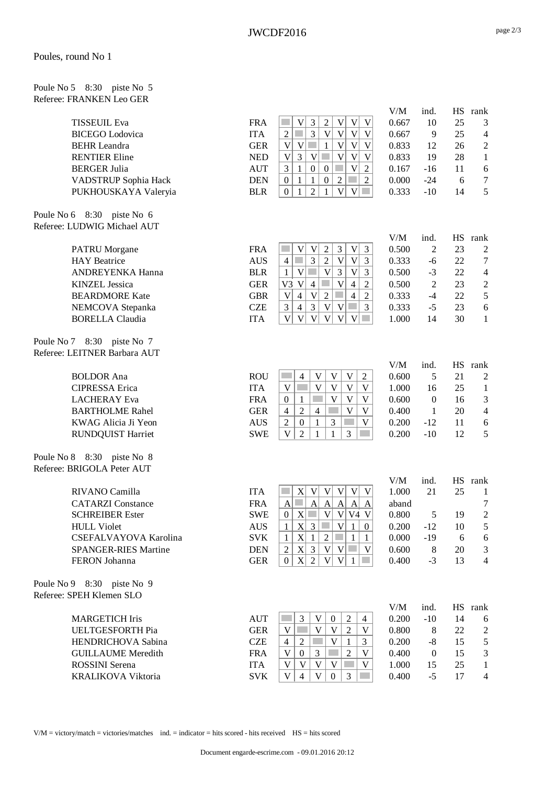Poule No 5 8:30 piste No 5 Referee: FRANKEN Leo GER

|            |                                                                                                                                                                                                                                                                                                                                                                                        |                                                                                                                                                                                                                                                                                                                                                                                                                                                                                                                                                                                                                                                                                                                                                                                                                                                                                                                                                                                                                                                                                                                                                                                                                                                                                                                                                                                                                                                                                                                                                                                                                                                                                                                                                                                                                                                                                                                                                                                                                                                                            |                                                                                                                                                                                                                                                                      |                                                                                                                                                                                            | 3                                                                                                                                                                      |
|------------|----------------------------------------------------------------------------------------------------------------------------------------------------------------------------------------------------------------------------------------------------------------------------------------------------------------------------------------------------------------------------------------|----------------------------------------------------------------------------------------------------------------------------------------------------------------------------------------------------------------------------------------------------------------------------------------------------------------------------------------------------------------------------------------------------------------------------------------------------------------------------------------------------------------------------------------------------------------------------------------------------------------------------------------------------------------------------------------------------------------------------------------------------------------------------------------------------------------------------------------------------------------------------------------------------------------------------------------------------------------------------------------------------------------------------------------------------------------------------------------------------------------------------------------------------------------------------------------------------------------------------------------------------------------------------------------------------------------------------------------------------------------------------------------------------------------------------------------------------------------------------------------------------------------------------------------------------------------------------------------------------------------------------------------------------------------------------------------------------------------------------------------------------------------------------------------------------------------------------------------------------------------------------------------------------------------------------------------------------------------------------------------------------------------------------------------------------------------------------|----------------------------------------------------------------------------------------------------------------------------------------------------------------------------------------------------------------------------------------------------------------------|--------------------------------------------------------------------------------------------------------------------------------------------------------------------------------------------|------------------------------------------------------------------------------------------------------------------------------------------------------------------------|
| <b>ITA</b> | $\overline{3}$<br> V <br>$\mathbf{V}$<br>$\mathbf V$<br>$\overline{2}$<br>F<br>V                                                                                                                                                                                                                                                                                                       | 0.667                                                                                                                                                                                                                                                                                                                                                                                                                                                                                                                                                                                                                                                                                                                                                                                                                                                                                                                                                                                                                                                                                                                                                                                                                                                                                                                                                                                                                                                                                                                                                                                                                                                                                                                                                                                                                                                                                                                                                                                                                                                                      | 9                                                                                                                                                                                                                                                                    | 25                                                                                                                                                                                         | $\overline{4}$                                                                                                                                                         |
|            | <b>College</b>                                                                                                                                                                                                                                                                                                                                                                         |                                                                                                                                                                                                                                                                                                                                                                                                                                                                                                                                                                                                                                                                                                                                                                                                                                                                                                                                                                                                                                                                                                                                                                                                                                                                                                                                                                                                                                                                                                                                                                                                                                                                                                                                                                                                                                                                                                                                                                                                                                                                            | 12                                                                                                                                                                                                                                                                   |                                                                                                                                                                                            | $\sqrt{2}$                                                                                                                                                             |
|            |                                                                                                                                                                                                                                                                                                                                                                                        |                                                                                                                                                                                                                                                                                                                                                                                                                                                                                                                                                                                                                                                                                                                                                                                                                                                                                                                                                                                                                                                                                                                                                                                                                                                                                                                                                                                                                                                                                                                                                                                                                                                                                                                                                                                                                                                                                                                                                                                                                                                                            |                                                                                                                                                                                                                                                                      |                                                                                                                                                                                            | $\mathbf{1}$                                                                                                                                                           |
|            | $\sim$                                                                                                                                                                                                                                                                                                                                                                                 |                                                                                                                                                                                                                                                                                                                                                                                                                                                                                                                                                                                                                                                                                                                                                                                                                                                                                                                                                                                                                                                                                                                                                                                                                                                                                                                                                                                                                                                                                                                                                                                                                                                                                                                                                                                                                                                                                                                                                                                                                                                                            |                                                                                                                                                                                                                                                                      |                                                                                                                                                                                            | $\sqrt{6}$                                                                                                                                                             |
|            | $\sim$                                                                                                                                                                                                                                                                                                                                                                                 |                                                                                                                                                                                                                                                                                                                                                                                                                                                                                                                                                                                                                                                                                                                                                                                                                                                                                                                                                                                                                                                                                                                                                                                                                                                                                                                                                                                                                                                                                                                                                                                                                                                                                                                                                                                                                                                                                                                                                                                                                                                                            |                                                                                                                                                                                                                                                                      |                                                                                                                                                                                            | $\boldsymbol{7}$                                                                                                                                                       |
|            |                                                                                                                                                                                                                                                                                                                                                                                        |                                                                                                                                                                                                                                                                                                                                                                                                                                                                                                                                                                                                                                                                                                                                                                                                                                                                                                                                                                                                                                                                                                                                                                                                                                                                                                                                                                                                                                                                                                                                                                                                                                                                                                                                                                                                                                                                                                                                                                                                                                                                            |                                                                                                                                                                                                                                                                      |                                                                                                                                                                                            | 5                                                                                                                                                                      |
|            |                                                                                                                                                                                                                                                                                                                                                                                        |                                                                                                                                                                                                                                                                                                                                                                                                                                                                                                                                                                                                                                                                                                                                                                                                                                                                                                                                                                                                                                                                                                                                                                                                                                                                                                                                                                                                                                                                                                                                                                                                                                                                                                                                                                                                                                                                                                                                                                                                                                                                            |                                                                                                                                                                                                                                                                      |                                                                                                                                                                                            |                                                                                                                                                                        |
|            |                                                                                                                                                                                                                                                                                                                                                                                        |                                                                                                                                                                                                                                                                                                                                                                                                                                                                                                                                                                                                                                                                                                                                                                                                                                                                                                                                                                                                                                                                                                                                                                                                                                                                                                                                                                                                                                                                                                                                                                                                                                                                                                                                                                                                                                                                                                                                                                                                                                                                            |                                                                                                                                                                                                                                                                      |                                                                                                                                                                                            |                                                                                                                                                                        |
|            |                                                                                                                                                                                                                                                                                                                                                                                        |                                                                                                                                                                                                                                                                                                                                                                                                                                                                                                                                                                                                                                                                                                                                                                                                                                                                                                                                                                                                                                                                                                                                                                                                                                                                                                                                                                                                                                                                                                                                                                                                                                                                                                                                                                                                                                                                                                                                                                                                                                                                            |                                                                                                                                                                                                                                                                      |                                                                                                                                                                                            |                                                                                                                                                                        |
|            |                                                                                                                                                                                                                                                                                                                                                                                        | V/M                                                                                                                                                                                                                                                                                                                                                                                                                                                                                                                                                                                                                                                                                                                                                                                                                                                                                                                                                                                                                                                                                                                                                                                                                                                                                                                                                                                                                                                                                                                                                                                                                                                                                                                                                                                                                                                                                                                                                                                                                                                                        | ind.                                                                                                                                                                                                                                                                 |                                                                                                                                                                                            | HS rank                                                                                                                                                                |
|            |                                                                                                                                                                                                                                                                                                                                                                                        |                                                                                                                                                                                                                                                                                                                                                                                                                                                                                                                                                                                                                                                                                                                                                                                                                                                                                                                                                                                                                                                                                                                                                                                                                                                                                                                                                                                                                                                                                                                                                                                                                                                                                                                                                                                                                                                                                                                                                                                                                                                                            | $\overline{2}$                                                                                                                                                                                                                                                       |                                                                                                                                                                                            | $\overline{2}$                                                                                                                                                         |
|            |                                                                                                                                                                                                                                                                                                                                                                                        |                                                                                                                                                                                                                                                                                                                                                                                                                                                                                                                                                                                                                                                                                                                                                                                                                                                                                                                                                                                                                                                                                                                                                                                                                                                                                                                                                                                                                                                                                                                                                                                                                                                                                                                                                                                                                                                                                                                                                                                                                                                                            | $-6$                                                                                                                                                                                                                                                                 | 22                                                                                                                                                                                         | $\tau$                                                                                                                                                                 |
| <b>BLR</b> | $\mathbf{1}$                                                                                                                                                                                                                                                                                                                                                                           | 0.500                                                                                                                                                                                                                                                                                                                                                                                                                                                                                                                                                                                                                                                                                                                                                                                                                                                                                                                                                                                                                                                                                                                                                                                                                                                                                                                                                                                                                                                                                                                                                                                                                                                                                                                                                                                                                                                                                                                                                                                                                                                                      | $-3$                                                                                                                                                                                                                                                                 | 22                                                                                                                                                                                         | $\overline{4}$                                                                                                                                                         |
| <b>GER</b> | V <sub>3</sub><br>V<br>$\overline{4}$<br>$\overline{2}$                                                                                                                                                                                                                                                                                                                                | 0.500                                                                                                                                                                                                                                                                                                                                                                                                                                                                                                                                                                                                                                                                                                                                                                                                                                                                                                                                                                                                                                                                                                                                                                                                                                                                                                                                                                                                                                                                                                                                                                                                                                                                                                                                                                                                                                                                                                                                                                                                                                                                      | $\overline{2}$                                                                                                                                                                                                                                                       | 23                                                                                                                                                                                         | $\sqrt{2}$                                                                                                                                                             |
| <b>GBR</b> | $\overline{\mathsf{V}}$<br>$\overline{4}$<br>$\mathbf V$<br>$\overline{4}$<br>$\sqrt{2}$<br>$\sim$<br>$\overline{2}$                                                                                                                                                                                                                                                                   | 0.333                                                                                                                                                                                                                                                                                                                                                                                                                                                                                                                                                                                                                                                                                                                                                                                                                                                                                                                                                                                                                                                                                                                                                                                                                                                                                                                                                                                                                                                                                                                                                                                                                                                                                                                                                                                                                                                                                                                                                                                                                                                                      | $-4$                                                                                                                                                                                                                                                                 | 22                                                                                                                                                                                         | 5                                                                                                                                                                      |
| <b>CZE</b> | $\overline{3}$<br>V<br>$\mathbf V$<br>$\mathfrak{Z}$<br>$\overline{4}$<br>$\mathcal{L}^{\mathcal{L}}$<br>$\mathfrak{Z}$                                                                                                                                                                                                                                                                | 0.333                                                                                                                                                                                                                                                                                                                                                                                                                                                                                                                                                                                                                                                                                                                                                                                                                                                                                                                                                                                                                                                                                                                                                                                                                                                                                                                                                                                                                                                                                                                                                                                                                                                                                                                                                                                                                                                                                                                                                                                                                                                                      | $-5$                                                                                                                                                                                                                                                                 | 23                                                                                                                                                                                         | $\sqrt{6}$                                                                                                                                                             |
| <b>ITA</b> | $\ensuremath{\mathbf{V}}$<br>$\overline{\mathsf{V}}$<br>$\mathbf V$<br>$\mathbf V$<br>$\mathbf V$<br>V<br><b>College</b>                                                                                                                                                                                                                                                               | 1.000                                                                                                                                                                                                                                                                                                                                                                                                                                                                                                                                                                                                                                                                                                                                                                                                                                                                                                                                                                                                                                                                                                                                                                                                                                                                                                                                                                                                                                                                                                                                                                                                                                                                                                                                                                                                                                                                                                                                                                                                                                                                      | 14                                                                                                                                                                                                                                                                   | 30                                                                                                                                                                                         | $\mathbf{1}$                                                                                                                                                           |
|            |                                                                                                                                                                                                                                                                                                                                                                                        |                                                                                                                                                                                                                                                                                                                                                                                                                                                                                                                                                                                                                                                                                                                                                                                                                                                                                                                                                                                                                                                                                                                                                                                                                                                                                                                                                                                                                                                                                                                                                                                                                                                                                                                                                                                                                                                                                                                                                                                                                                                                            |                                                                                                                                                                                                                                                                      |                                                                                                                                                                                            |                                                                                                                                                                        |
|            |                                                                                                                                                                                                                                                                                                                                                                                        |                                                                                                                                                                                                                                                                                                                                                                                                                                                                                                                                                                                                                                                                                                                                                                                                                                                                                                                                                                                                                                                                                                                                                                                                                                                                                                                                                                                                                                                                                                                                                                                                                                                                                                                                                                                                                                                                                                                                                                                                                                                                            |                                                                                                                                                                                                                                                                      |                                                                                                                                                                                            |                                                                                                                                                                        |
|            |                                                                                                                                                                                                                                                                                                                                                                                        |                                                                                                                                                                                                                                                                                                                                                                                                                                                                                                                                                                                                                                                                                                                                                                                                                                                                                                                                                                                                                                                                                                                                                                                                                                                                                                                                                                                                                                                                                                                                                                                                                                                                                                                                                                                                                                                                                                                                                                                                                                                                            |                                                                                                                                                                                                                                                                      |                                                                                                                                                                                            |                                                                                                                                                                        |
|            |                                                                                                                                                                                                                                                                                                                                                                                        |                                                                                                                                                                                                                                                                                                                                                                                                                                                                                                                                                                                                                                                                                                                                                                                                                                                                                                                                                                                                                                                                                                                                                                                                                                                                                                                                                                                                                                                                                                                                                                                                                                                                                                                                                                                                                                                                                                                                                                                                                                                                            |                                                                                                                                                                                                                                                                      |                                                                                                                                                                                            | HS rank                                                                                                                                                                |
|            |                                                                                                                                                                                                                                                                                                                                                                                        |                                                                                                                                                                                                                                                                                                                                                                                                                                                                                                                                                                                                                                                                                                                                                                                                                                                                                                                                                                                                                                                                                                                                                                                                                                                                                                                                                                                                                                                                                                                                                                                                                                                                                                                                                                                                                                                                                                                                                                                                                                                                            |                                                                                                                                                                                                                                                                      |                                                                                                                                                                                            | $\overline{c}$                                                                                                                                                         |
|            |                                                                                                                                                                                                                                                                                                                                                                                        |                                                                                                                                                                                                                                                                                                                                                                                                                                                                                                                                                                                                                                                                                                                                                                                                                                                                                                                                                                                                                                                                                                                                                                                                                                                                                                                                                                                                                                                                                                                                                                                                                                                                                                                                                                                                                                                                                                                                                                                                                                                                            |                                                                                                                                                                                                                                                                      |                                                                                                                                                                                            | $\mathbf{1}$                                                                                                                                                           |
|            | 1                                                                                                                                                                                                                                                                                                                                                                                      |                                                                                                                                                                                                                                                                                                                                                                                                                                                                                                                                                                                                                                                                                                                                                                                                                                                                                                                                                                                                                                                                                                                                                                                                                                                                                                                                                                                                                                                                                                                                                                                                                                                                                                                                                                                                                                                                                                                                                                                                                                                                            |                                                                                                                                                                                                                                                                      |                                                                                                                                                                                            | $\mathfrak{Z}$                                                                                                                                                         |
|            |                                                                                                                                                                                                                                                                                                                                                                                        |                                                                                                                                                                                                                                                                                                                                                                                                                                                                                                                                                                                                                                                                                                                                                                                                                                                                                                                                                                                                                                                                                                                                                                                                                                                                                                                                                                                                                                                                                                                                                                                                                                                                                                                                                                                                                                                                                                                                                                                                                                                                            |                                                                                                                                                                                                                                                                      |                                                                                                                                                                                            | $\overline{4}$                                                                                                                                                         |
|            | $\overline{c}$<br>$\boldsymbol{0}$<br>1                                                                                                                                                                                                                                                                                                                                                |                                                                                                                                                                                                                                                                                                                                                                                                                                                                                                                                                                                                                                                                                                                                                                                                                                                                                                                                                                                                                                                                                                                                                                                                                                                                                                                                                                                                                                                                                                                                                                                                                                                                                                                                                                                                                                                                                                                                                                                                                                                                            | $-12$                                                                                                                                                                                                                                                                |                                                                                                                                                                                            | 6                                                                                                                                                                      |
|            | $\mathbf{1}$<br>1                                                                                                                                                                                                                                                                                                                                                                      |                                                                                                                                                                                                                                                                                                                                                                                                                                                                                                                                                                                                                                                                                                                                                                                                                                                                                                                                                                                                                                                                                                                                                                                                                                                                                                                                                                                                                                                                                                                                                                                                                                                                                                                                                                                                                                                                                                                                                                                                                                                                            |                                                                                                                                                                                                                                                                      | 12                                                                                                                                                                                         | 5                                                                                                                                                                      |
|            |                                                                                                                                                                                                                                                                                                                                                                                        |                                                                                                                                                                                                                                                                                                                                                                                                                                                                                                                                                                                                                                                                                                                                                                                                                                                                                                                                                                                                                                                                                                                                                                                                                                                                                                                                                                                                                                                                                                                                                                                                                                                                                                                                                                                                                                                                                                                                                                                                                                                                            |                                                                                                                                                                                                                                                                      |                                                                                                                                                                                            |                                                                                                                                                                        |
|            |                                                                                                                                                                                                                                                                                                                                                                                        |                                                                                                                                                                                                                                                                                                                                                                                                                                                                                                                                                                                                                                                                                                                                                                                                                                                                                                                                                                                                                                                                                                                                                                                                                                                                                                                                                                                                                                                                                                                                                                                                                                                                                                                                                                                                                                                                                                                                                                                                                                                                            |                                                                                                                                                                                                                                                                      |                                                                                                                                                                                            |                                                                                                                                                                        |
|            |                                                                                                                                                                                                                                                                                                                                                                                        |                                                                                                                                                                                                                                                                                                                                                                                                                                                                                                                                                                                                                                                                                                                                                                                                                                                                                                                                                                                                                                                                                                                                                                                                                                                                                                                                                                                                                                                                                                                                                                                                                                                                                                                                                                                                                                                                                                                                                                                                                                                                            |                                                                                                                                                                                                                                                                      |                                                                                                                                                                                            |                                                                                                                                                                        |
|            |                                                                                                                                                                                                                                                                                                                                                                                        |                                                                                                                                                                                                                                                                                                                                                                                                                                                                                                                                                                                                                                                                                                                                                                                                                                                                                                                                                                                                                                                                                                                                                                                                                                                                                                                                                                                                                                                                                                                                                                                                                                                                                                                                                                                                                                                                                                                                                                                                                                                                            |                                                                                                                                                                                                                                                                      |                                                                                                                                                                                            | 1                                                                                                                                                                      |
|            |                                                                                                                                                                                                                                                                                                                                                                                        |                                                                                                                                                                                                                                                                                                                                                                                                                                                                                                                                                                                                                                                                                                                                                                                                                                                                                                                                                                                                                                                                                                                                                                                                                                                                                                                                                                                                                                                                                                                                                                                                                                                                                                                                                                                                                                                                                                                                                                                                                                                                            |                                                                                                                                                                                                                                                                      |                                                                                                                                                                                            |                                                                                                                                                                        |
|            |                                                                                                                                                                                                                                                                                                                                                                                        |                                                                                                                                                                                                                                                                                                                                                                                                                                                                                                                                                                                                                                                                                                                                                                                                                                                                                                                                                                                                                                                                                                                                                                                                                                                                                                                                                                                                                                                                                                                                                                                                                                                                                                                                                                                                                                                                                                                                                                                                                                                                            |                                                                                                                                                                                                                                                                      |                                                                                                                                                                                            | 7                                                                                                                                                                      |
|            |                                                                                                                                                                                                                                                                                                                                                                                        |                                                                                                                                                                                                                                                                                                                                                                                                                                                                                                                                                                                                                                                                                                                                                                                                                                                                                                                                                                                                                                                                                                                                                                                                                                                                                                                                                                                                                                                                                                                                                                                                                                                                                                                                                                                                                                                                                                                                                                                                                                                                            |                                                                                                                                                                                                                                                                      |                                                                                                                                                                                            | $\boldsymbol{2}$                                                                                                                                                       |
|            |                                                                                                                                                                                                                                                                                                                                                                                        |                                                                                                                                                                                                                                                                                                                                                                                                                                                                                                                                                                                                                                                                                                                                                                                                                                                                                                                                                                                                                                                                                                                                                                                                                                                                                                                                                                                                                                                                                                                                                                                                                                                                                                                                                                                                                                                                                                                                                                                                                                                                            |                                                                                                                                                                                                                                                                      |                                                                                                                                                                                            | 5                                                                                                                                                                      |
|            |                                                                                                                                                                                                                                                                                                                                                                                        |                                                                                                                                                                                                                                                                                                                                                                                                                                                                                                                                                                                                                                                                                                                                                                                                                                                                                                                                                                                                                                                                                                                                                                                                                                                                                                                                                                                                                                                                                                                                                                                                                                                                                                                                                                                                                                                                                                                                                                                                                                                                            |                                                                                                                                                                                                                                                                      |                                                                                                                                                                                            | 6                                                                                                                                                                      |
|            |                                                                                                                                                                                                                                                                                                                                                                                        |                                                                                                                                                                                                                                                                                                                                                                                                                                                                                                                                                                                                                                                                                                                                                                                                                                                                                                                                                                                                                                                                                                                                                                                                                                                                                                                                                                                                                                                                                                                                                                                                                                                                                                                                                                                                                                                                                                                                                                                                                                                                            |                                                                                                                                                                                                                                                                      |                                                                                                                                                                                            | 3                                                                                                                                                                      |
|            |                                                                                                                                                                                                                                                                                                                                                                                        |                                                                                                                                                                                                                                                                                                                                                                                                                                                                                                                                                                                                                                                                                                                                                                                                                                                                                                                                                                                                                                                                                                                                                                                                                                                                                                                                                                                                                                                                                                                                                                                                                                                                                                                                                                                                                                                                                                                                                                                                                                                                            |                                                                                                                                                                                                                                                                      |                                                                                                                                                                                            | $\overline{4}$                                                                                                                                                         |
|            |                                                                                                                                                                                                                                                                                                                                                                                        |                                                                                                                                                                                                                                                                                                                                                                                                                                                                                                                                                                                                                                                                                                                                                                                                                                                                                                                                                                                                                                                                                                                                                                                                                                                                                                                                                                                                                                                                                                                                                                                                                                                                                                                                                                                                                                                                                                                                                                                                                                                                            |                                                                                                                                                                                                                                                                      |                                                                                                                                                                                            |                                                                                                                                                                        |
|            |                                                                                                                                                                                                                                                                                                                                                                                        |                                                                                                                                                                                                                                                                                                                                                                                                                                                                                                                                                                                                                                                                                                                                                                                                                                                                                                                                                                                                                                                                                                                                                                                                                                                                                                                                                                                                                                                                                                                                                                                                                                                                                                                                                                                                                                                                                                                                                                                                                                                                            |                                                                                                                                                                                                                                                                      |                                                                                                                                                                                            |                                                                                                                                                                        |
|            |                                                                                                                                                                                                                                                                                                                                                                                        |                                                                                                                                                                                                                                                                                                                                                                                                                                                                                                                                                                                                                                                                                                                                                                                                                                                                                                                                                                                                                                                                                                                                                                                                                                                                                                                                                                                                                                                                                                                                                                                                                                                                                                                                                                                                                                                                                                                                                                                                                                                                            |                                                                                                                                                                                                                                                                      |                                                                                                                                                                                            |                                                                                                                                                                        |
|            |                                                                                                                                                                                                                                                                                                                                                                                        |                                                                                                                                                                                                                                                                                                                                                                                                                                                                                                                                                                                                                                                                                                                                                                                                                                                                                                                                                                                                                                                                                                                                                                                                                                                                                                                                                                                                                                                                                                                                                                                                                                                                                                                                                                                                                                                                                                                                                                                                                                                                            |                                                                                                                                                                                                                                                                      |                                                                                                                                                                                            | 6                                                                                                                                                                      |
|            |                                                                                                                                                                                                                                                                                                                                                                                        |                                                                                                                                                                                                                                                                                                                                                                                                                                                                                                                                                                                                                                                                                                                                                                                                                                                                                                                                                                                                                                                                                                                                                                                                                                                                                                                                                                                                                                                                                                                                                                                                                                                                                                                                                                                                                                                                                                                                                                                                                                                                            |                                                                                                                                                                                                                                                                      |                                                                                                                                                                                            |                                                                                                                                                                        |
|            |                                                                                                                                                                                                                                                                                                                                                                                        |                                                                                                                                                                                                                                                                                                                                                                                                                                                                                                                                                                                                                                                                                                                                                                                                                                                                                                                                                                                                                                                                                                                                                                                                                                                                                                                                                                                                                                                                                                                                                                                                                                                                                                                                                                                                                                                                                                                                                                                                                                                                            |                                                                                                                                                                                                                                                                      |                                                                                                                                                                                            | $\overline{c}$<br>$\sqrt{5}$                                                                                                                                           |
|            |                                                                                                                                                                                                                                                                                                                                                                                        |                                                                                                                                                                                                                                                                                                                                                                                                                                                                                                                                                                                                                                                                                                                                                                                                                                                                                                                                                                                                                                                                                                                                                                                                                                                                                                                                                                                                                                                                                                                                                                                                                                                                                                                                                                                                                                                                                                                                                                                                                                                                            |                                                                                                                                                                                                                                                                      |                                                                                                                                                                                            | $\mathfrak{Z}$                                                                                                                                                         |
|            |                                                                                                                                                                                                                                                                                                                                                                                        |                                                                                                                                                                                                                                                                                                                                                                                                                                                                                                                                                                                                                                                                                                                                                                                                                                                                                                                                                                                                                                                                                                                                                                                                                                                                                                                                                                                                                                                                                                                                                                                                                                                                                                                                                                                                                                                                                                                                                                                                                                                                            |                                                                                                                                                                                                                                                                      |                                                                                                                                                                                            |                                                                                                                                                                        |
|            |                                                                                                                                                                                                                                                                                                                                                                                        |                                                                                                                                                                                                                                                                                                                                                                                                                                                                                                                                                                                                                                                                                                                                                                                                                                                                                                                                                                                                                                                                                                                                                                                                                                                                                                                                                                                                                                                                                                                                                                                                                                                                                                                                                                                                                                                                                                                                                                                                                                                                            |                                                                                                                                                                                                                                                                      |                                                                                                                                                                                            | $\mathbf{1}$<br>4                                                                                                                                                      |
|            |                                                                                                                                                                                                                                                                                                                                                                                        |                                                                                                                                                                                                                                                                                                                                                                                                                                                                                                                                                                                                                                                                                                                                                                                                                                                                                                                                                                                                                                                                                                                                                                                                                                                                                                                                                                                                                                                                                                                                                                                                                                                                                                                                                                                                                                                                                                                                                                                                                                                                            |                                                                                                                                                                                                                                                                      |                                                                                                                                                                                            |                                                                                                                                                                        |
|            | <b>FRA</b><br><b>GER</b><br><b>NED</b><br><b>AUT</b><br><b>DEN</b><br><b>BLR</b><br><b>FRA</b><br><b>AUS</b><br><b>ROU</b><br><b>ITA</b><br><b>FRA</b><br><b>GER</b><br><b>AUS</b><br><b>SWE</b><br><b>ITA</b><br><b>FRA</b><br><b>SWE</b><br><b>AUS</b><br><b>SVK</b><br><b>DEN</b><br><b>GER</b><br><b>AUT</b><br><b>GER</b><br><b>CZE</b><br><b>FRA</b><br><b>ITA</b><br><b>SVK</b> | $\mathfrak{Z}$<br>$\boldsymbol{2}$<br>V<br>$\mathbf V$<br>$\mathbf V$<br>V<br>$\mathbf V$<br>V<br>$\mathbf{1}$<br> V <br>$\ensuremath{\mathsf{V}}$<br>V<br>$\mathfrak{Z}$<br>$\mathbf V$<br>$\mathbf V$<br> V <br>V<br>$\mathbf V$<br>$\mathbf V$<br>$\mathbf{1}$<br>$\boldsymbol{0}$<br>$\overline{0}$<br>$\overline{2}$<br>3<br>$\sqrt{2}$<br>$\overline{2}$<br>$\mathbf{1}$<br>$\overline{0}$<br>$\mathbf{1}$<br>$\mathbf{0}$<br>$\overline{2}$<br>$\mathbf V$<br>$\sim$<br>$\mathbf V$<br>$\mathbf{1}$<br>$\overline{0}$<br>1<br>$\sqrt{2}$<br>$\mathfrak{Z}$<br>$\mathfrak{Z}$<br>V<br>V<br>$\mathbf V$<br>3<br>$\mathbf V$<br>$\overline{4}$<br>$\overline{2}$<br>$\ensuremath{\mathsf{V}}$<br>3<br>$\overline{3}$<br>$\mathbf V$<br>$\mathbf{V}$<br>$\overline{V}$<br>3<br>$\overline{\mathsf{V}}$<br>$\overline{4}$<br>$\mathbf V$<br>$\mathbf V$<br>V<br>$\boldsymbol{2}$<br>$\overline{4}$<br>$\mathbf{V}$<br>$\mathbf{V}$<br>$\mathbf V$<br>$\mathbf V$<br>V<br>$\overline{V}$<br>$\mathbf V$<br>$\mathbf V$<br>$\mathbf{0}$<br>$\overline{2}$<br>$\mathbf V$<br>$\overline{4}$<br>$\overline{4}$<br>V<br>$\mathfrak{Z}$<br>$\mathbf V$<br>$\overline{2}$<br>$\mathbf V$<br>3<br> V <br>X<br>$\mathbf V$<br>V<br>$\mathbf V$<br>V<br>$\mathcal{L}_{\mathcal{A}}$<br>$\overline{A}$<br> A <br>$\mathbf{A}$<br> A <br>$\mathbf{A}$<br>$\mathbf{A}$<br> X <br> V <br> V <br>V <sub>4</sub> V<br><b>COL</b><br>$\boldsymbol{0}$<br>$\mathbf X$<br>$\mathbf{3}$<br>$\mathbf V$<br>$\sim$<br>$\mathbf{1}$<br>$\mathbf{1}$<br>$\boldsymbol{0}$<br>$1 \mid X \mid 1 \mid 2 \mid 1 \mid 1$<br>$\boldsymbol{\mathrm{X}}$<br>$\overline{3}$<br> V <br> V <br>$\overline{2}$<br>V<br>V<br>V<br>$\mathbf{X}$<br>2<br>$\overline{0}$<br><b>College</b><br>1<br>3<br>V<br>2<br>$\overline{0}$<br>$\overline{4}$<br>$\mathbf V$<br>$\overline{2}$<br>V<br>V<br>V<br>V<br>$\overline{2}$<br>3<br>4<br>1<br>V<br>$\overline{2}$<br>V<br>3<br>$\overline{0}$<br>$\mathbf V$<br>$\mathbf V$<br>V<br>V<br>V<br>$\mathbf V$<br>$\mathbf V$<br>3<br>$\overline{4}$<br>$\boldsymbol{0}$ | 0.667<br>0.833<br>0.833<br>0.167<br>0.000<br>0.333<br>0.500<br>0.333<br>V/M<br>0.600<br>1.000<br>0.600<br>0.400<br>0.200<br>0.200<br>V/M<br>1.000<br>aband<br>0.800<br>0.200<br>0.000<br>0.600<br>0.400<br>V/M<br>0.200<br>0.800<br>0.200<br>0.400<br>1.000<br>0.400 | 19<br>$-16$<br>$-24$<br>$-10$<br>ind.<br>5<br>16<br>$\theta$<br>1<br>$-10$<br>ind.<br>21<br>5<br>$-12$<br>$-19$<br>8<br>$-3$<br>ind.<br>$-10$<br>8<br>$-8$<br>$\overline{0}$<br>15<br>$-5$ | 10<br>25<br>26<br>28<br>11<br>6<br>14<br>23<br>21<br>25<br>16<br>20<br>11<br>HS rank<br>25<br>19<br>10<br>6<br>20<br>13<br>HS rank<br>14<br>22<br>15<br>15<br>25<br>17 |

V/M = victory/match = victories/matches ind. = indicator = hits scored - hits received HS = hits scored

V/M ind. HS rank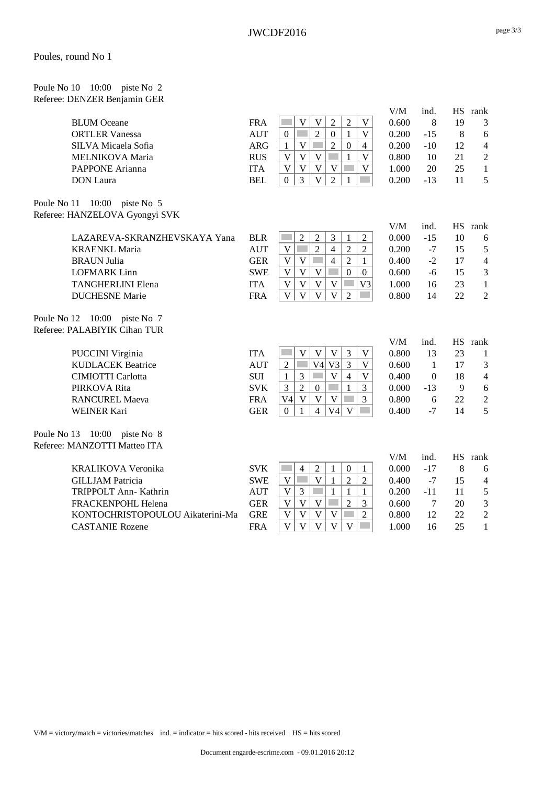Poule No 10 10:00 piste No 2 Referee: DENZER Benjamin GER

| <b>BLUM</b> Oceane<br><b>ORTLER Vanessa</b><br>SILVA Micaela Sofia<br>MELNIKOVA Maria<br>PAPPONE Arianna<br><b>DON</b> Laura | <b>FRA</b><br><b>AUT</b><br><b>ARG</b><br><b>RUS</b><br><b>ITA</b><br><b>BEL</b> | $\overline{2}$<br>$\overline{2}$<br>$\mathbf V$<br>$\mathbf V$<br>$\mathbf V$<br>$\overline{2}$<br>$\mathbf{0}$<br>$\mathbf V$<br>$\boldsymbol{0}$<br>$\mathbf{1}$<br>$\overline{2}$<br>$\mathbf V$<br>$\boldsymbol{0}$<br>$\mathbf{1}$<br>$\overline{4}$<br>$\mathbf V$<br>V<br>$\mathbf V$<br>V<br>$\mathbf{1}$<br>V<br>V<br>$\mathbf V$<br>$\mathbf V$<br>V<br>$\overline{2}$<br>3<br>$\mathbf V$<br>$\Omega$<br>1 | V/M<br>0.600<br>0.200<br>0.200<br>0.800<br>1.000<br>0.200 | ind.<br>8<br>$-15$<br>$-10$<br>10<br>20<br>$-13$ | 19<br>8<br>12<br>21<br>25<br>11 | HS rank<br>3<br>$\sqrt{6}$<br>$\overline{4}$<br>$\mathfrak 2$<br>$\mathbf{1}$<br>5 |
|------------------------------------------------------------------------------------------------------------------------------|----------------------------------------------------------------------------------|-----------------------------------------------------------------------------------------------------------------------------------------------------------------------------------------------------------------------------------------------------------------------------------------------------------------------------------------------------------------------------------------------------------------------|-----------------------------------------------------------|--------------------------------------------------|---------------------------------|------------------------------------------------------------------------------------|
| Poule No 11 10:00 piste No 5                                                                                                 |                                                                                  |                                                                                                                                                                                                                                                                                                                                                                                                                       |                                                           |                                                  |                                 |                                                                                    |
| Referee: HANZELOVA Gyongyi SVK                                                                                               |                                                                                  |                                                                                                                                                                                                                                                                                                                                                                                                                       |                                                           |                                                  |                                 |                                                                                    |
| LAZAREVA-SKRANZHEVSKAYA Yana                                                                                                 | <b>BLR</b>                                                                       | $\overline{2}$<br>$\overline{2}$<br>3<br>$\overline{2}$<br>1                                                                                                                                                                                                                                                                                                                                                          | V/M<br>0.000                                              | ind.<br>$-15$                                    | 10                              | HS rank                                                                            |
| <b>KRAENKL Maria</b>                                                                                                         | <b>AUT</b>                                                                       | $\overline{2}$<br>$\overline{2}$<br>V<br>$\overline{4}$<br>$\overline{2}$                                                                                                                                                                                                                                                                                                                                             | 0.200                                                     | $-7$                                             | 15                              | 6<br>5                                                                             |
| <b>BRAUN Julia</b>                                                                                                           | <b>GER</b>                                                                       | $\overline{V}$<br>$\overline{4}$<br>$\overline{2}$<br>V<br>1                                                                                                                                                                                                                                                                                                                                                          | 0.400                                                     | $-2$                                             | 17                              | $\overline{4}$                                                                     |
| <b>LOFMARK</b> Linn                                                                                                          | <b>SWE</b>                                                                       | $\overline{V}$<br>V<br>V<br>$\overline{0}$<br>$\overline{0}$                                                                                                                                                                                                                                                                                                                                                          | 0.600                                                     | $-6$                                             | 15                              | $\mathfrak{Z}$                                                                     |
| <b>TANGHERLINI Elena</b>                                                                                                     | <b>ITA</b>                                                                       | V<br>V<br>V<br>V<br>V <sub>3</sub>                                                                                                                                                                                                                                                                                                                                                                                    | 1.000                                                     | 16                                               | 23                              | $\mathbf{1}$                                                                       |
| <b>DUCHESNE</b> Marie                                                                                                        | <b>FRA</b>                                                                       | V<br>V<br>V<br>$\overline{2}$<br>V                                                                                                                                                                                                                                                                                                                                                                                    | 0.800                                                     | 14                                               | 22                              | $\overline{2}$                                                                     |
| Poule No 12 10:00 piste No 7<br>Referee: PALABIYIK Cihan TUR                                                                 |                                                                                  |                                                                                                                                                                                                                                                                                                                                                                                                                       |                                                           |                                                  |                                 |                                                                                    |
|                                                                                                                              |                                                                                  |                                                                                                                                                                                                                                                                                                                                                                                                                       | V/M                                                       | ind.                                             |                                 | HS rank                                                                            |
| <b>PUCCINI Virginia</b>                                                                                                      | <b>ITA</b>                                                                       | $\mathbf V$<br>$\mathbf V$<br>$\mathbf V$<br>3<br>$\mathbf V$                                                                                                                                                                                                                                                                                                                                                         | 0.800                                                     | 13                                               | 23                              | $\mathbf{1}$                                                                       |
| <b>KUDLACEK Beatrice</b>                                                                                                     | <b>AUT</b>                                                                       | $\overline{2}$<br>$V4$ V3<br>3<br>V                                                                                                                                                                                                                                                                                                                                                                                   | 0.600                                                     | $\mathbf{1}$                                     | 17                              | $\mathfrak{Z}$                                                                     |
| <b>CIMIOTTI Carlotta</b>                                                                                                     | <b>SUI</b>                                                                       | 3<br>$\mathbf V$<br>$\mathbf{1}$<br>$\overline{4}$<br>V                                                                                                                                                                                                                                                                                                                                                               | 0.400                                                     | $\theta$                                         | 18                              | $\overline{4}$                                                                     |
| PIRKOVA Rita                                                                                                                 | <b>SVK</b>                                                                       | $\overline{2}$<br>3<br>$\mathbf{1}$<br>$\boldsymbol{0}$<br>3                                                                                                                                                                                                                                                                                                                                                          | 0.000                                                     | $-13$                                            | 9                               | $\sqrt{6}$                                                                         |
| <b>RANCUREL Maeva</b>                                                                                                        | <b>FRA</b>                                                                       | $\mathbf V$<br>$\mathbf V$<br>V<br>3<br>V4                                                                                                                                                                                                                                                                                                                                                                            | 0.800                                                     | 6                                                | 22                              | $\sqrt{2}$                                                                         |
| <b>WEINER Kari</b>                                                                                                           | <b>GER</b>                                                                       | $\overline{4}$<br>V4<br>V<br>$\boldsymbol{0}$<br>$\mathbf{1}$                                                                                                                                                                                                                                                                                                                                                         | 0.400                                                     | $-7$                                             | 14                              | 5                                                                                  |
| Poule No 13 10:00 piste No 8                                                                                                 |                                                                                  |                                                                                                                                                                                                                                                                                                                                                                                                                       |                                                           |                                                  |                                 |                                                                                    |
| Referee: MANZOTTI Matteo ITA                                                                                                 |                                                                                  |                                                                                                                                                                                                                                                                                                                                                                                                                       |                                                           |                                                  |                                 |                                                                                    |
|                                                                                                                              |                                                                                  |                                                                                                                                                                                                                                                                                                                                                                                                                       | V/M                                                       | ind.                                             |                                 | HS rank                                                                            |
| KRALIKOVA Veronika                                                                                                           | <b>SVK</b>                                                                       | $\overline{2}$<br><b>Tara</b><br>$\overline{4}$<br>$\mathbf{1}$<br>$\boldsymbol{0}$<br>$\mathbf{1}$                                                                                                                                                                                                                                                                                                                   | 0.000                                                     | $-17$                                            | 8                               | 6                                                                                  |
| <b>GILLJAM Patricia</b>                                                                                                      | <b>SWE</b>                                                                       | $\mathbf V$<br>$\overline{2}$<br>V<br>$\mathbf{1}$<br>$\overline{2}$                                                                                                                                                                                                                                                                                                                                                  | 0.400                                                     | $-7$                                             | 15                              | $\overline{4}$                                                                     |
| TRIPPOLT Ann- Kathrin                                                                                                        | <b>AUT</b>                                                                       | V<br>3<br>$\mathbf{1}$<br>$\mathbf{1}$<br>$\mathbf{1}$                                                                                                                                                                                                                                                                                                                                                                | 0.200                                                     | $-11$                                            | 11                              | $\mathfrak s$                                                                      |
| FRACKENPOHL Helena                                                                                                           | <b>GER</b>                                                                       | $\overline{2}$<br>$\overline{V}$<br>V<br>V<br>3                                                                                                                                                                                                                                                                                                                                                                       | 0.600                                                     | 7                                                | 20                              | $\mathfrak{Z}$                                                                     |
| KONTOCHRISTOPOULOU Aikaterini-Ma                                                                                             | <b>GRE</b>                                                                       | V<br>$\mathbf V$<br>$\mathbf V$<br>V<br>$\overline{2}$                                                                                                                                                                                                                                                                                                                                                                | 0.800                                                     | 12                                               | 22                              | $\sqrt{2}$                                                                         |
| <b>CASTANIE Rozene</b>                                                                                                       | <b>FRA</b>                                                                       | $\overline{\mathsf{V}}$<br>$\mathbf{V}$<br>$\mathbf{V}$<br>$\mathbf V$<br>V<br>$\sim$                                                                                                                                                                                                                                                                                                                                 | 1.000                                                     | 16                                               | 25                              | $\mathbf{1}$                                                                       |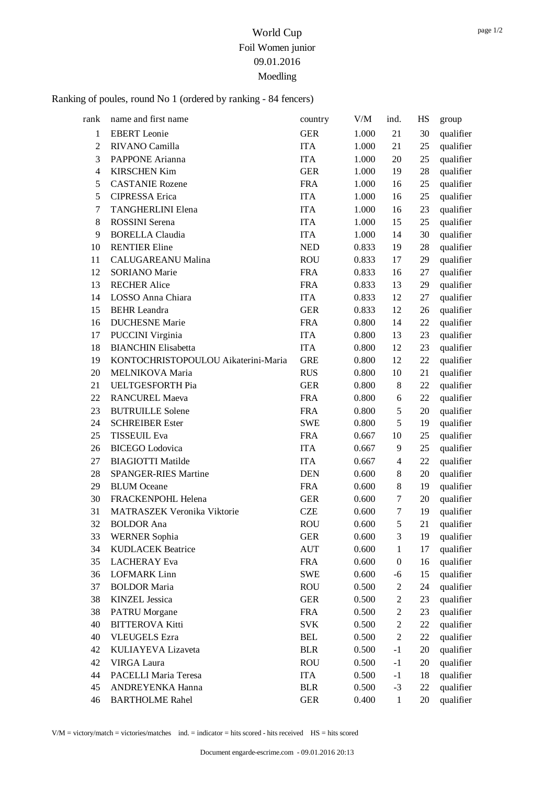# Ranking of poules, round No 1 (ordered by ranking - 84 fencers)

| rank           | name and first name                 | country    | V/M   | ind.             | HS | group     |
|----------------|-------------------------------------|------------|-------|------------------|----|-----------|
| 1              | <b>EBERT</b> Leonie                 | <b>GER</b> | 1.000 | 21               | 30 | qualifier |
| $\overline{c}$ | RIVANO Camilla                      | <b>ITA</b> | 1.000 | 21               | 25 | qualifier |
| 3              | PAPPONE Arianna                     | <b>ITA</b> | 1.000 | $20\,$           | 25 | qualifier |
| $\overline{4}$ | <b>KIRSCHEN Kim</b>                 | <b>GER</b> | 1.000 | 19               | 28 | qualifier |
| 5              | <b>CASTANIE Rozene</b>              | <b>FRA</b> | 1.000 | 16               | 25 | qualifier |
| 5              | <b>CIPRESSA</b> Erica               | <b>ITA</b> | 1.000 | 16               | 25 | qualifier |
| 7              | <b>TANGHERLINI Elena</b>            | <b>ITA</b> | 1.000 | 16               | 23 | qualifier |
| $8\,$          | <b>ROSSINI</b> Serena               | <b>ITA</b> | 1.000 | 15               | 25 | qualifier |
| 9              | <b>BORELLA Claudia</b>              | <b>ITA</b> | 1.000 | 14               | 30 | qualifier |
| 10             | <b>RENTIER Eline</b>                | <b>NED</b> | 0.833 | 19               | 28 | qualifier |
| 11             | CALUGAREANU Malina                  | <b>ROU</b> | 0.833 | 17               | 29 | qualifier |
| 12             | <b>SORIANO</b> Marie                | <b>FRA</b> | 0.833 | 16               | 27 | qualifier |
| 13             | <b>RECHER Alice</b>                 | <b>FRA</b> | 0.833 | 13               | 29 | qualifier |
| 14             | LOSSO Anna Chiara                   | <b>ITA</b> | 0.833 | 12               | 27 | qualifier |
| 15             | <b>BEHR</b> Leandra                 | <b>GER</b> | 0.833 | 12               | 26 | qualifier |
| 16             | <b>DUCHESNE</b> Marie               | <b>FRA</b> | 0.800 | 14               | 22 | qualifier |
| 17             | <b>PUCCINI Virginia</b>             | <b>ITA</b> | 0.800 | 13               | 23 | qualifier |
| 18             | <b>BIANCHIN Elisabetta</b>          | <b>ITA</b> | 0.800 | 12               | 23 | qualifier |
| 19             | KONTOCHRISTOPOULOU Aikaterini-Maria | <b>GRE</b> | 0.800 | 12               | 22 | qualifier |
| 20             | MELNIKOVA Maria                     | <b>RUS</b> | 0.800 | 10               | 21 | qualifier |
| 21             | UELTGESFORTH Pia                    | <b>GER</b> | 0.800 | 8                | 22 | qualifier |
| 22             | <b>RANCUREL Maeva</b>               | <b>FRA</b> | 0.800 | 6                | 22 | qualifier |
| 23             | <b>BUTRUILLE Solene</b>             | <b>FRA</b> | 0.800 | 5                | 20 | qualifier |
| 24             | <b>SCHREIBER Ester</b>              | <b>SWE</b> | 0.800 | 5                | 19 | qualifier |
| 25             | <b>TISSEUIL Eva</b>                 | <b>FRA</b> | 0.667 | 10               | 25 | qualifier |
| 26             | <b>BICEGO</b> Lodovica              | <b>ITA</b> | 0.667 | 9                | 25 | qualifier |
| 27             | <b>BIAGIOTTI Matilde</b>            | <b>ITA</b> | 0.667 | $\overline{4}$   | 22 | qualifier |
| 28             | <b>SPANGER-RIES Martine</b>         | <b>DEN</b> | 0.600 | $8\,$            | 20 | qualifier |
| 29             | <b>BLUM</b> Oceane                  | <b>FRA</b> | 0.600 | 8                | 19 | qualifier |
| 30             | FRACKENPOHL Helena                  | <b>GER</b> | 0.600 | 7                | 20 | qualifier |
| 31             | MATRASZEK Veronika Viktorie         | <b>CZE</b> | 0.600 | 7                | 19 | qualifier |
| 32             | <b>BOLDOR</b> Ana                   | <b>ROU</b> | 0.600 | 5                | 21 | qualifier |
| 33             | <b>WERNER Sophia</b>                | <b>GER</b> | 0.600 | 3                | 19 | qualifier |
| 34             | <b>KUDLACEK Beatrice</b>            | <b>AUT</b> | 0.600 | $\mathbf{1}$     | 17 | qualifier |
| 35             | <b>LACHERAY</b> Eva                 | <b>FRA</b> | 0.600 | $\boldsymbol{0}$ | 16 | qualifier |
| 36             | <b>LOFMARK Linn</b>                 | <b>SWE</b> | 0.600 | $-6$             | 15 | qualifier |
| 37             | <b>BOLDOR Maria</b>                 | <b>ROU</b> | 0.500 | $\overline{c}$   | 24 | qualifier |
| 38             | <b>KINZEL Jessica</b>               | <b>GER</b> | 0.500 | $\mathbf{2}$     | 23 | qualifier |
| 38             | <b>PATRU</b> Morgane                | <b>FRA</b> | 0.500 | $\mathfrak{2}$   | 23 | qualifier |
| 40             | <b>BITTEROVA Kitti</b>              | <b>SVK</b> | 0.500 | $\boldsymbol{2}$ | 22 | qualifier |
| 40             | <b>VLEUGELS Ezra</b>                | <b>BEL</b> | 0.500 | $\mathfrak{2}$   | 22 | qualifier |
| 42             | KULIAYEVA Lizaveta                  | <b>BLR</b> | 0.500 | $-1$             | 20 | qualifier |
| 42             | <b>VIRGA Laura</b>                  | <b>ROU</b> | 0.500 | $-1$             | 20 | qualifier |
| 44             | PACELLI Maria Teresa                | <b>ITA</b> | 0.500 | $-1$             | 18 | qualifier |
| 45             | ANDREYENKA Hanna                    | <b>BLR</b> | 0.500 | $-3$             | 22 | qualifier |
| 46             | <b>BARTHOLME Rahel</b>              | <b>GER</b> | 0.400 | $\mathbf{1}$     | 20 | qualifier |

V/M = victory/match = victories/matches ind. = indicator = hits scored - hits received HS = hits scored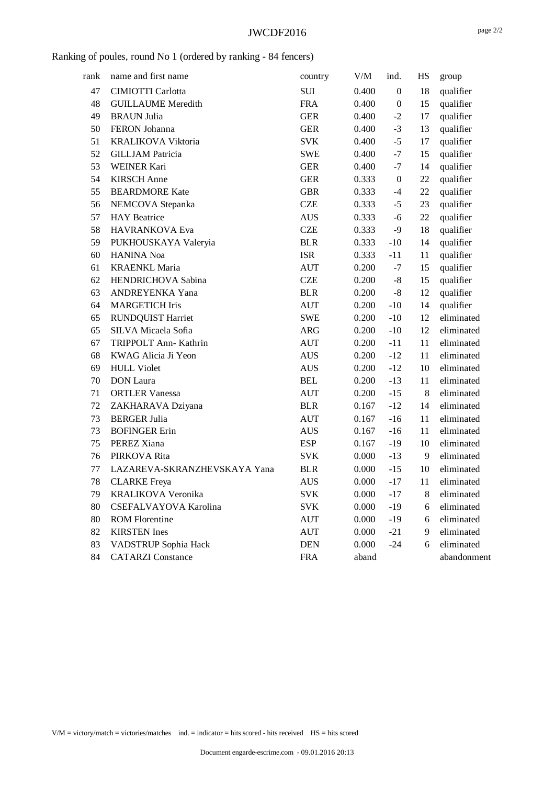#### JWCDF2016

## Ranking of poules, round No 1 (ordered by ranking - 84 fencers)

| rank | name and first name          | country    | V/M   | ind.             | HS | group       |
|------|------------------------------|------------|-------|------------------|----|-------------|
| 47   | <b>CIMIOTTI Carlotta</b>     | <b>SUI</b> | 0.400 | $\overline{0}$   | 18 | qualifier   |
| 48   | <b>GUILLAUME</b> Meredith    | <b>FRA</b> | 0.400 | $\boldsymbol{0}$ | 15 | qualifier   |
| 49   | <b>BRAUN Julia</b>           | <b>GER</b> | 0.400 | $-2$             | 17 | qualifier   |
| 50   | FERON Johanna                | <b>GER</b> | 0.400 | $-3$             | 13 | qualifier   |
| 51   | <b>KRALIKOVA Viktoria</b>    | <b>SVK</b> | 0.400 | $-5$             | 17 | qualifier   |
| 52   | <b>GILLJAM Patricia</b>      | <b>SWE</b> | 0.400 | $-7$             | 15 | qualifier   |
| 53   | <b>WEINER Kari</b>           | <b>GER</b> | 0.400 | $-7$             | 14 | qualifier   |
| 54   | <b>KIRSCH</b> Anne           | <b>GER</b> | 0.333 | $\boldsymbol{0}$ | 22 | qualifier   |
| 55   | <b>BEARDMORE Kate</b>        | <b>GBR</b> | 0.333 | $-4$             | 22 | qualifier   |
| 56   | NEMCOVA Stepanka             | <b>CZE</b> | 0.333 | $-5$             | 23 | qualifier   |
| 57   | <b>HAY</b> Beatrice          | <b>AUS</b> | 0.333 | $-6$             | 22 | qualifier   |
| 58   | HAVRANKOVA Eva               | <b>CZE</b> | 0.333 | $-9$             | 18 | qualifier   |
| 59   | PUKHOUSKAYA Valeryia         | <b>BLR</b> | 0.333 | $-10$            | 14 | qualifier   |
| 60   | <b>HANINA</b> Noa            | <b>ISR</b> | 0.333 | $-11$            | 11 | qualifier   |
| 61   | <b>KRAENKL Maria</b>         | <b>AUT</b> | 0.200 | $-7$             | 15 | qualifier   |
| 62   | <b>HENDRICHOVA Sabina</b>    | <b>CZE</b> | 0.200 | $-8$             | 15 | qualifier   |
| 63   | ANDREYENKA Yana              | <b>BLR</b> | 0.200 | $\mbox{-}8$      | 12 | qualifier   |
| 64   | <b>MARGETICH Iris</b>        | <b>AUT</b> | 0.200 | $-10$            | 14 | qualifier   |
| 65   | <b>RUNDQUIST Harriet</b>     | <b>SWE</b> | 0.200 | $-10$            | 12 | eliminated  |
| 65   | SILVA Micaela Sofia          | <b>ARG</b> | 0.200 | $-10$            | 12 | eliminated  |
| 67   | TRIPPOLT Ann- Kathrin        | <b>AUT</b> | 0.200 | $-11$            | 11 | eliminated  |
| 68   | KWAG Alicia Ji Yeon          | <b>AUS</b> | 0.200 | $-12$            | 11 | eliminated  |
| 69   | <b>HULL Violet</b>           | <b>AUS</b> | 0.200 | $-12$            | 10 | eliminated  |
| 70   | <b>DON</b> Laura             | <b>BEL</b> | 0.200 | $-13$            | 11 | eliminated  |
| 71   | <b>ORTLER Vanessa</b>        | <b>AUT</b> | 0.200 | $-15$            | 8  | eliminated  |
| 72   | ZAKHARAVA Dziyana            | <b>BLR</b> | 0.167 | $-12$            | 14 | eliminated  |
| 73   | <b>BERGER Julia</b>          | <b>AUT</b> | 0.167 | $-16$            | 11 | eliminated  |
| 73   | <b>BOFINGER Erin</b>         | <b>AUS</b> | 0.167 | $-16$            | 11 | eliminated  |
| 75   | PEREZ Xiana                  | <b>ESP</b> | 0.167 | $-19$            | 10 | eliminated  |
| 76   | PIRKOVA Rita                 | <b>SVK</b> | 0.000 | $-13$            | 9  | eliminated  |
| 77   | LAZAREVA-SKRANZHEVSKAYA Yana | <b>BLR</b> | 0.000 | $-15$            | 10 | eliminated  |
| 78   | <b>CLARKE</b> Freya          | <b>AUS</b> | 0.000 | $-17$            | 11 | eliminated  |
| 79   | KRALIKOVA Veronika           | <b>SVK</b> | 0.000 | $-17$            | 8  | eliminated  |
| 80   | CSEFALVAYOVA Karolina        | <b>SVK</b> | 0.000 | $-19$            | 6  | eliminated  |
| 80   | <b>ROM Florentine</b>        | <b>AUT</b> | 0.000 | $-19$            | 6  | eliminated  |
| 82   | <b>KIRSTEN</b> Ines          | <b>AUT</b> | 0.000 | $-21$            | 9  | eliminated  |
| 83   | VADSTRUP Sophia Hack         | <b>DEN</b> | 0.000 | $-24$            | 6  | eliminated  |
| 84   | <b>CATARZI</b> Constance     | <b>FRA</b> | aband |                  |    | abandonment |
|      |                              |            |       |                  |    |             |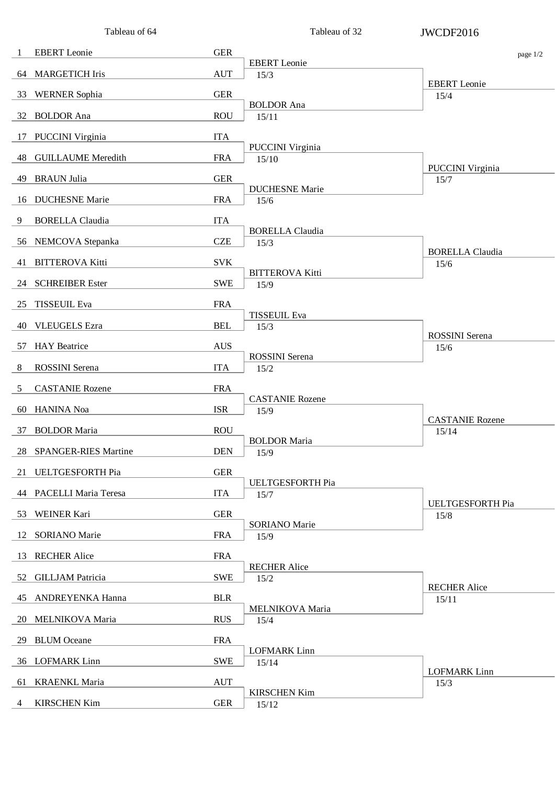|     | Tableau of 64             |            | Tableau of 32                  | JWCDF2016                       |
|-----|---------------------------|------------|--------------------------------|---------------------------------|
| 1   | <b>EBERT</b> Leonie       | <b>GER</b> |                                | page 1/2                        |
|     | 64 MARGETICH Iris         | <b>AUT</b> | <b>EBERT</b> Leonie<br>15/3    |                                 |
| 33  | <b>WERNER Sophia</b>      | <b>GER</b> |                                | <b>EBERT</b> Leonie<br>15/4     |
| 32  | <b>BOLDOR</b> Ana         | <b>ROU</b> | <b>BOLDOR</b> Ana<br>15/11     |                                 |
| 17  | <b>PUCCINI</b> Virginia   | <b>ITA</b> |                                |                                 |
| 48. | <b>GUILLAUME</b> Meredith | <b>FRA</b> | PUCCINI Virginia               |                                 |
|     |                           | <b>GER</b> | 15/10                          | <b>PUCCINI</b> Virginia         |
| 49. | <b>BRAUN Julia</b>        |            | <b>DUCHESNE Marie</b>          | 15/7                            |
| 16  | <b>DUCHESNE Marie</b>     | <b>FRA</b> | 15/6                           |                                 |
| 9   | <b>BORELLA Claudia</b>    | <b>ITA</b> | <b>BORELLA Claudia</b>         |                                 |
| 56  | NEMCOVA Stepanka          | <b>CZE</b> | 15/3                           | <b>BORELLA Claudia</b>          |
| 41  | <b>BITTEROVA Kitti</b>    | <b>SVK</b> | <b>BITTEROVA Kitti</b>         | 15/6                            |
|     | 24 SCHREIBER Ester        | <b>SWE</b> | 15/9                           |                                 |
| 25  | <b>TISSEUIL Eva</b>       | <b>FRA</b> | <b>TISSEUIL Eva</b>            |                                 |
| 40  | <b>VLEUGELS Ezra</b>      | <b>BEL</b> | 15/3                           | <b>ROSSINI</b> Serena           |
| 57  | <b>HAY</b> Beatrice       | <b>AUS</b> |                                | 15/6                            |
| 8   | <b>ROSSINI</b> Serena     | <b>ITA</b> | <b>ROSSINI</b> Serena<br>15/2  |                                 |
| 5   | <b>CASTANIE Rozene</b>    | <b>FRA</b> |                                |                                 |
| 60  | <b>HANINA</b> Noa         | <b>ISR</b> | <b>CASTANIE Rozene</b><br>15/9 |                                 |
| 37  | <b>BOLDOR Maria</b>       | <b>ROU</b> |                                | <b>CASTANIE Rozene</b><br>15/14 |
|     | 28 SPANGER-RIES Martine   | <b>DEN</b> | <b>BOLDOR Maria</b><br>15/9    |                                 |
|     | 21 UELTGESFORTH Pia       | <b>GER</b> |                                |                                 |
|     | 44 PACELLI Maria Teresa   | <b>ITA</b> | UELTGESFORTH Pia               |                                 |
|     |                           |            | 15/7                           | <b>UELTGESFORTH Pia</b>         |
| 53  | <b>WEINER Kari</b>        | <b>GER</b> | <b>SORIANO</b> Marie           | 15/8                            |
| 12  | <b>SORIANO</b> Marie      | <b>FRA</b> | 15/9                           |                                 |
| 13  | <b>RECHER Alice</b>       | <b>FRA</b> | <b>RECHER Alice</b>            |                                 |
|     | 52 GILLJAM Patricia       | <b>SWE</b> | 15/2                           | <b>RECHER Alice</b>             |
|     | 45 ANDREYENKA Hanna       | <b>BLR</b> | MELNIKOVA Maria                | 15/11                           |
|     | 20 MELNIKOVA Maria        | <b>RUS</b> | 15/4                           |                                 |
| 29  | <b>BLUM</b> Oceane        | <b>FRA</b> | <b>LOFMARK</b> Linn            |                                 |
|     | 36 LOFMARK Linn           | <b>SWE</b> | 15/14                          | <b>LOFMARK Linn</b>             |
| 61  | <b>KRAENKL Maria</b>      | <b>AUT</b> |                                | 15/3                            |
| 4   | <b>KIRSCHEN Kim</b>       | <b>GER</b> | <b>KIRSCHEN Kim</b><br>15/12   |                                 |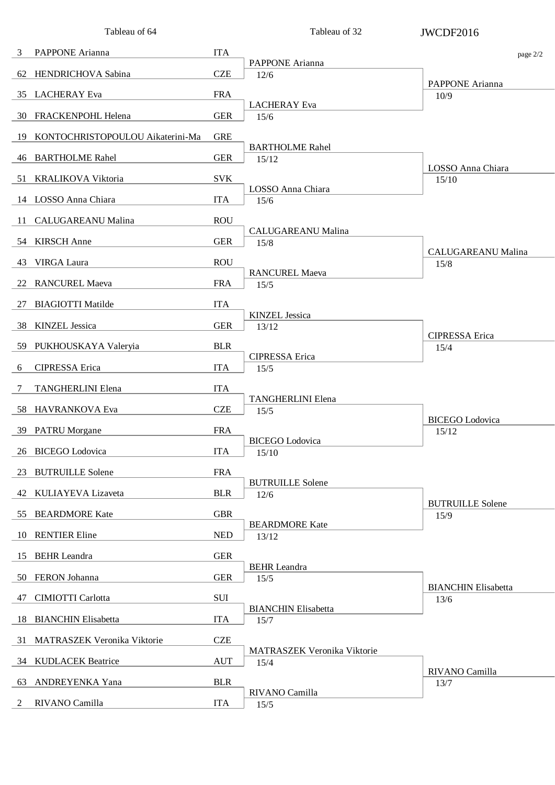|    | Tableau of 64                    |            | Tableau of 32                       | JWCDF2016                          |
|----|----------------------------------|------------|-------------------------------------|------------------------------------|
| 3  | PAPPONE Arianna                  | <b>ITA</b> | PAPPONE Arianna                     | page 2/2                           |
|    | 62 HENDRICHOVA Sabina            | <b>CZE</b> | 12/6                                |                                    |
| 35 | <b>LACHERAY</b> Eva              | <b>FRA</b> |                                     | PAPPONE Arianna<br>10/9            |
|    | 30 FRACKENPOHL Helena            | <b>GER</b> | <b>LACHERAY</b> Eva<br>15/6         |                                    |
| 19 | KONTOCHRISTOPOULOU Aikaterini-Ma | <b>GRE</b> |                                     |                                    |
|    | 46 BARTHOLME Rahel               | <b>GER</b> | <b>BARTHOLME Rahel</b><br>15/12     |                                    |
| 51 | KRALIKOVA Viktoria               | <b>SVK</b> |                                     | LOSSO Anna Chiara<br>15/10         |
|    | 14 LOSSO Anna Chiara             | <b>ITA</b> | LOSSO Anna Chiara<br>15/6           |                                    |
| 11 | <b>CALUGAREANU Malina</b>        | <b>ROU</b> |                                     |                                    |
|    | 54 KIRSCH Anne                   | <b>GER</b> | <b>CALUGAREANU Malina</b><br>15/8   |                                    |
| 43 | VIRGA Laura                      | <b>ROU</b> |                                     | <b>CALUGAREANU Malina</b><br>15/8  |
| 22 | <b>RANCUREL Maeva</b>            | <b>FRA</b> | <b>RANCUREL Maeva</b><br>15/5       |                                    |
| 27 | <b>BIAGIOTTI Matilde</b>         | <b>ITA</b> |                                     |                                    |
| 38 | <b>KINZEL</b> Jessica            | <b>GER</b> | <b>KINZEL Jessica</b><br>13/12      |                                    |
| 59 | PUKHOUSKAYA Valeryia             | <b>BLR</b> |                                     | <b>CIPRESSA</b> Erica<br>15/4      |
| 6  | <b>CIPRESSA</b> Erica            | <b>ITA</b> | <b>CIPRESSA</b> Erica<br>15/5       |                                    |
| 7  | <b>TANGHERLINI Elena</b>         | <b>ITA</b> |                                     |                                    |
| 58 | HAVRANKOVA Eva                   | <b>CZE</b> | <b>TANGHERLINI Elena</b><br>15/5    |                                    |
|    | 39 PATRU Morgane                 | <b>FRA</b> |                                     | <b>BICEGO</b> Lodovica<br>15/12    |
|    | 26 BICEGO Lodovica               | <b>ITA</b> | <b>BICEGO</b> Lodovica<br>15/10     |                                    |
| 23 | <b>BUTRUILLE Solene</b>          | <b>FRA</b> |                                     |                                    |
|    | 42 KULIAYEVA Lizaveta            | <b>BLR</b> | <b>BUTRUILLE Solene</b><br>12/6     |                                    |
| 55 | <b>BEARDMORE Kate</b>            | <b>GBR</b> |                                     | <b>BUTRUILLE Solene</b><br>15/9    |
| 10 | <b>RENTIER Eline</b>             | <b>NED</b> | <b>BEARDMORE Kate</b><br>13/12      |                                    |
| 15 | <b>BEHR</b> Leandra              | <b>GER</b> |                                     |                                    |
|    | 50 FERON Johanna                 | <b>GER</b> | <b>BEHR</b> Leandra<br>15/5         |                                    |
| 47 | CIMIOTTI Carlotta                | SUI        |                                     | <b>BIANCHIN Elisabetta</b><br>13/6 |
| 18 | <b>BIANCHIN Elisabetta</b>       | <b>ITA</b> | <b>BIANCHIN Elisabetta</b><br>15/7  |                                    |
| 31 | MATRASZEK Veronika Viktorie      | <b>CZE</b> |                                     |                                    |
|    | 34 KUDLACEK Beatrice             | <b>AUT</b> | MATRASZEK Veronika Viktorie<br>15/4 |                                    |
| 63 | ANDREYENKA Yana                  | <b>BLR</b> |                                     | RIVANO Camilla<br>13/7             |
| 2  | RIVANO Camilla                   | <b>ITA</b> | RIVANO Camilla<br>15/5              |                                    |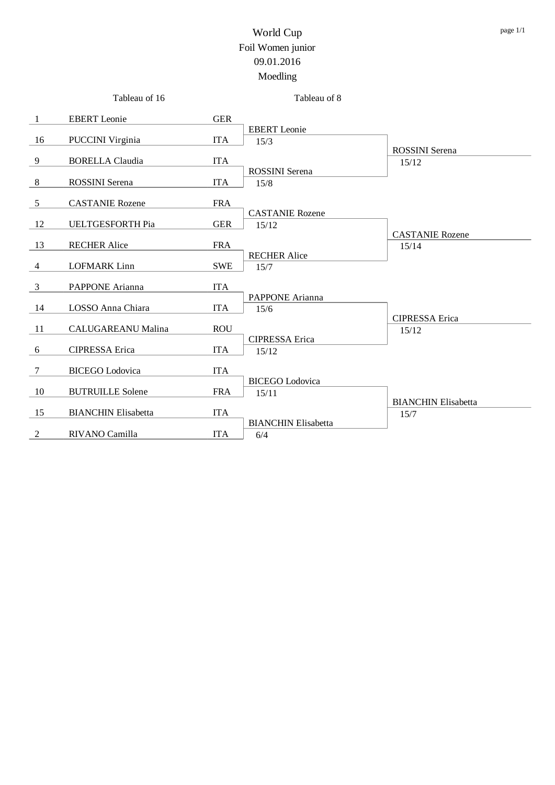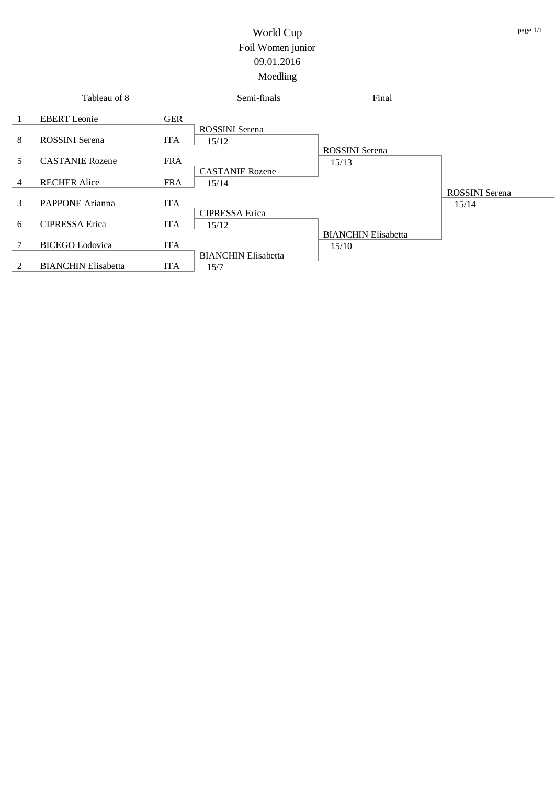|               | Tableau of 8               |            | Semi-finals                | Final                      |                       |
|---------------|----------------------------|------------|----------------------------|----------------------------|-----------------------|
|               | <b>EBERT</b> Leonie        | <b>GER</b> |                            |                            |                       |
|               |                            |            | <b>ROSSINI</b> Serena      |                            |                       |
| 8             | <b>ROSSINI</b> Serena      | <b>ITA</b> | 15/12                      |                            |                       |
|               |                            |            |                            | <b>ROSSINI</b> Serena      |                       |
| 5             | <b>CASTANIE Rozene</b>     | <b>FRA</b> |                            | 15/13                      |                       |
|               |                            |            | <b>CASTANIE Rozene</b>     |                            |                       |
| 4             | <b>RECHER Alice</b>        | <b>FRA</b> | 15/14                      |                            |                       |
|               |                            |            |                            |                            | <b>ROSSINI</b> Serena |
| $\mathcal{E}$ | PAPPONE Arianna            | <b>ITA</b> |                            |                            | 15/14                 |
|               |                            |            | <b>CIPRESSA</b> Erica      |                            |                       |
| 6             | <b>CIPRESSA</b> Erica      | <b>ITA</b> | 15/12                      |                            |                       |
|               |                            |            |                            | <b>BIANCHIN Elisabetta</b> |                       |
|               | <b>BICEGO</b> Lodovica     | <b>ITA</b> |                            | 15/10                      |                       |
|               |                            |            | <b>BIANCHIN Elisabetta</b> |                            |                       |
| $\mathcal{L}$ | <b>BIANCHIN Elisabetta</b> | <b>ITA</b> | 15/7                       |                            |                       |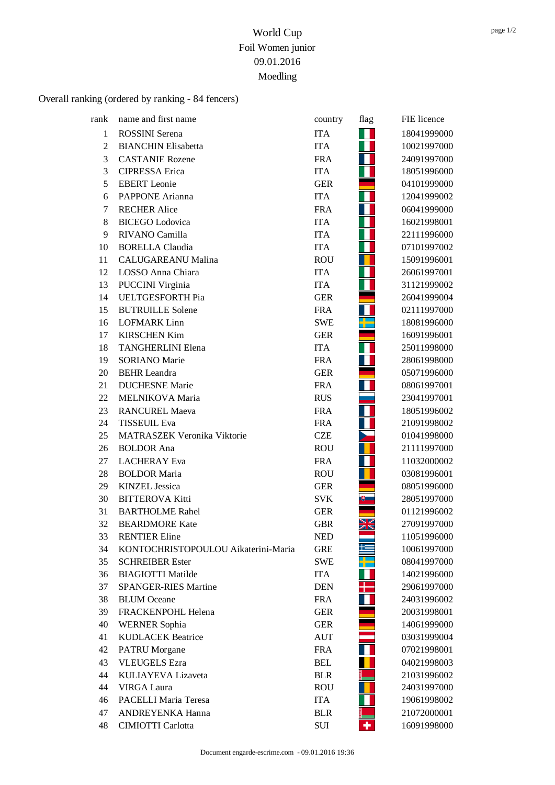# Overall ranking (ordered by ranking - 84 fencers)

| rank           | name and first name                 | country    | flag | FIE licence |
|----------------|-------------------------------------|------------|------|-------------|
| $\mathbf{1}$   | <b>ROSSINI</b> Serena               | <b>ITA</b> |      | 18041999000 |
| $\overline{2}$ | <b>BIANCHIN Elisabetta</b>          | <b>ITA</b> |      | 10021997000 |
| 3              | <b>CASTANIE Rozene</b>              | <b>FRA</b> |      | 24091997000 |
| 3              | <b>CIPRESSA</b> Erica               | <b>ITA</b> |      | 18051996000 |
| 5              | <b>EBERT</b> Leonie                 | <b>GER</b> |      | 04101999000 |
| 6              | PAPPONE Arianna                     | <b>ITA</b> |      | 12041999002 |
| 7              | <b>RECHER Alice</b>                 | <b>FRA</b> |      | 06041999000 |
| 8              | <b>BICEGO</b> Lodovica              | <b>ITA</b> |      | 16021998001 |
| 9              | RIVANO Camilla                      | <b>ITA</b> |      | 22111996000 |
| 10             | <b>BORELLA Claudia</b>              | <b>ITA</b> |      | 07101997002 |
| 11             | <b>CALUGAREANU Malina</b>           | <b>ROU</b> |      | 15091996001 |
| 12             | LOSSO Anna Chiara                   | <b>ITA</b> |      | 26061997001 |
| 13             | PUCCINI Virginia                    | <b>ITA</b> |      | 31121999002 |
| 14             | <b>UELTGESFORTH Pia</b>             | <b>GER</b> |      | 26041999004 |
| 15             | <b>BUTRUILLE Solene</b>             | <b>FRA</b> |      | 02111997000 |
| 16             | <b>LOFMARK Linn</b>                 | <b>SWE</b> |      | 18081996000 |
| 17             | <b>KIRSCHEN Kim</b>                 | <b>GER</b> |      | 16091996001 |
| 18             | <b>TANGHERLINI Elena</b>            | <b>ITA</b> |      | 25011998000 |
| 19             | <b>SORIANO</b> Marie                | <b>FRA</b> |      | 28061998000 |
| 20             | <b>BEHR</b> Leandra                 | <b>GER</b> |      | 05071996000 |
| 21             | <b>DUCHESNE</b> Marie               | <b>FRA</b> |      | 08061997001 |
| 22             | MELNIKOVA Maria                     | <b>RUS</b> |      | 23041997001 |
| 23             | <b>RANCUREL Maeva</b>               | <b>FRA</b> |      | 18051996002 |
| 24             | <b>TISSEUIL Eva</b>                 | <b>FRA</b> |      | 21091998002 |
| 25             | MATRASZEK Veronika Viktorie         | <b>CZE</b> |      | 01041998000 |
| 26             | <b>BOLDOR</b> Ana                   | <b>ROU</b> |      | 21111997000 |
| 27             | <b>LACHERAY</b> Eva                 | <b>FRA</b> |      | 11032000002 |
| 28             | <b>BOLDOR Maria</b>                 | <b>ROU</b> |      | 03081996001 |
| 29             | <b>KINZEL Jessica</b>               | <b>GER</b> |      | 08051996000 |
| 30             | <b>BITTEROVA Kitti</b>              | <b>SVK</b> |      | 28051997000 |
| 31             | <b>BARTHOLME Rahel</b>              | <b>GER</b> |      | 01121996002 |
| 32             | <b>BEARDMORE Kate</b>               | <b>GBR</b> | XK   | 27091997000 |
| 33             | <b>RENTIER Eline</b>                | <b>NED</b> |      | 11051996000 |
| 34             | KONTOCHRISTOPOULOU Aikaterini-Maria | <b>GRE</b> | £    | 10061997000 |
| 35             | <b>SCHREIBER Ester</b>              | <b>SWE</b> |      | 08041997000 |
| 36             | <b>BIAGIOTTI Matilde</b>            | <b>ITA</b> |      | 14021996000 |
| 37             | <b>SPANGER-RIES Martine</b>         | <b>DEN</b> |      | 29061997000 |
| 38             | <b>BLUM</b> Oceane                  | <b>FRA</b> |      | 24031996002 |
| 39             | FRACKENPOHL Helena                  | <b>GER</b> |      | 20031998001 |
| 40             | <b>WERNER Sophia</b>                | <b>GER</b> |      | 14061999000 |
| 41             | <b>KUDLACEK Beatrice</b>            | AUT        |      | 03031999004 |
| 42             | <b>PATRU</b> Morgane                | <b>FRA</b> |      | 07021998001 |
| 43             | <b>VLEUGELS Ezra</b>                | <b>BEL</b> |      | 04021998003 |
| 44             | KULIAYEVA Lizaveta                  | <b>BLR</b> |      | 21031996002 |
| 44             | <b>VIRGA Laura</b>                  | <b>ROU</b> |      | 24031997000 |
| 46             | PACELLI Maria Teresa                | <b>ITA</b> |      | 19061998002 |
| 47             | ANDREYENKA Hanna                    | <b>BLR</b> |      | 21072000001 |
| 48             | <b>CIMIOTTI Carlotta</b>            | SUI        | ٠    | 16091998000 |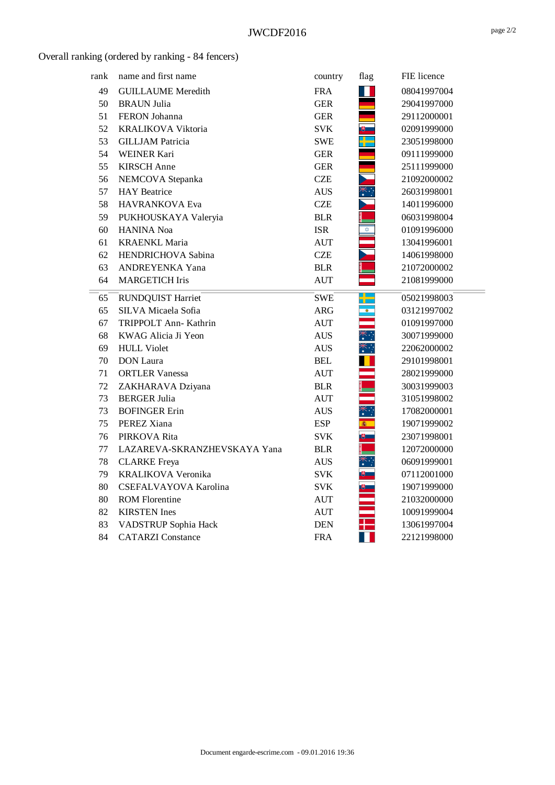## Overall ranking (ordered by ranking - 84 fencers)

| rank | name and first name          | country            | flag       | FIE licence |  |
|------|------------------------------|--------------------|------------|-------------|--|
| 49   | <b>GUILLAUME</b> Meredith    | <b>FRA</b>         |            | 08041997004 |  |
| 50   | <b>BRAUN Julia</b>           | <b>GER</b>         |            | 29041997000 |  |
| 51   | FERON Johanna                | <b>GER</b>         |            | 29112000001 |  |
| 52   | <b>KRALIKOVA Viktoria</b>    | <b>SVK</b>         |            | 02091999000 |  |
| 53   | <b>GILLJAM Patricia</b>      | <b>SWE</b>         |            | 23051998000 |  |
| 54   | <b>WEINER Kari</b>           | <b>GER</b>         |            | 09111999000 |  |
| 55   | <b>KIRSCH</b> Anne           | <b>GER</b>         |            | 25111999000 |  |
| 56   | NEMCOVA Stepanka             | <b>CZE</b>         |            | 21092000002 |  |
| 57   | <b>HAY</b> Beatrice          | <b>AUS</b>         | *∵         | 26031998001 |  |
| 58   | HAVRANKOVA Eva               | <b>CZE</b>         |            | 14011996000 |  |
| 59   | PUKHOUSKAYA Valeryia         | <b>BLR</b>         |            | 06031998004 |  |
| 60   | <b>HANINA</b> Noa            | <b>ISR</b>         | ✿          | 01091996000 |  |
| 61   | <b>KRAENKL Maria</b>         | <b>AUT</b>         |            | 13041996001 |  |
| 62   | HENDRICHOVA Sabina           | <b>CZE</b>         |            | 14061998000 |  |
| 63   | ANDREYENKA Yana              | <b>BLR</b>         |            | 21072000002 |  |
| 64   | <b>MARGETICH Iris</b>        | <b>AUT</b>         |            | 21081999000 |  |
| 65   | <b>RUNDQUIST Harriet</b>     | <b>SWE</b>         | ╄          | 05021998003 |  |
| 65   | SILVA Micaela Sofia          | <b>ARG</b>         | $^{\circ}$ | 03121997002 |  |
| 67   | TRIPPOLT Ann- Kathrin        | <b>AUT</b>         |            | 01091997000 |  |
| 68   | KWAG Alicia Ji Yeon          | <b>AUS</b>         |            | 30071999000 |  |
| 69   | <b>HULL Violet</b>           | <b>AUS</b>         | ⋇⋰         | 22062000002 |  |
| 70   | <b>DON</b> Laura             | <b>BEL</b>         |            | 29101998001 |  |
| 71   | <b>ORTLER Vanessa</b>        | $\mathop{\rm AUT}$ |            | 28021999000 |  |
| 72   | ZAKHARAVA Dziyana            | <b>BLR</b>         |            | 30031999003 |  |
| 73   | <b>BERGER Julia</b>          | AUT                |            | 31051998002 |  |
| 73   | <b>BOFINGER Erin</b>         | <b>AUS</b>         |            | 17082000001 |  |
| 75   | PEREZ Xiana                  | <b>ESP</b>         | 6          | 19071999002 |  |
| 76   | PIRKOVA Rita                 | <b>SVK</b>         | 罗二         | 23071998001 |  |
| 77   | LAZAREVA-SKRANZHEVSKAYA Yana | <b>BLR</b>         |            | 12072000000 |  |
| 78   | <b>CLARKE</b> Freya          | <b>AUS</b>         | ҉          | 06091999001 |  |
| 79   | KRALIKOVA Veronika           | <b>SVK</b>         |            | 07112001000 |  |
| 80   | CSEFALVAYOVA Karolina        | <b>SVK</b>         |            | 19071999000 |  |
| 80   | <b>ROM Florentine</b>        | <b>AUT</b>         |            | 21032000000 |  |
| 82   | <b>KIRSTEN</b> Ines          | <b>AUT</b>         |            | 10091999004 |  |
| 83   | VADSTRUP Sophia Hack         | <b>DEN</b>         |            | 13061997004 |  |
| 84   | <b>CATARZI</b> Constance     | <b>FRA</b>         |            | 22121998000 |  |